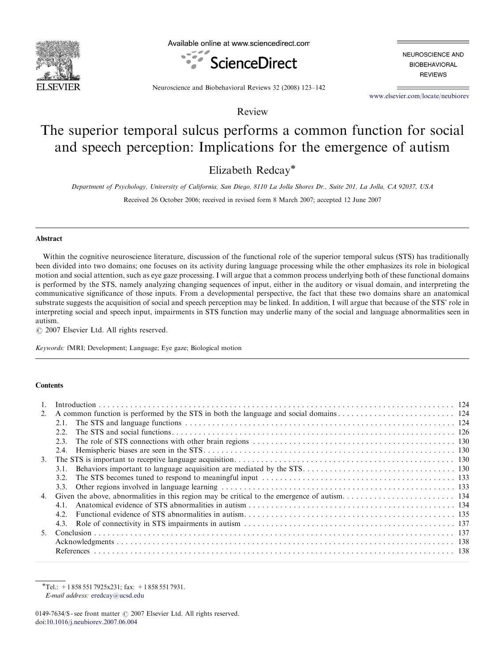

Available online at www.sciencedirect.com



NEUROSCIENCE AND **BIOBEHAVIORAL REVIEWS** 

Neuroscience and Biobehavioral Reviews 32 (2008) 123–142

<www.elsevier.com/locate/neubiorev>

Review

# The superior temporal sulcus performs a common function for social and speech perception: Implications for the emergence of autism

Elizabeth Redcay\*

Department of Psychology, University of California, San Diego, 8110 La Jolla Shores Dr., Suite 201, La Jolla, CA 92037, USA

Received 26 October 2006; received in revised form 8 March 2007; accepted 12 June 2007

## Abstract

Within the cognitive neuroscience literature, discussion of the functional role of the superior temporal sulcus (STS) has traditionally been divided into two domains; one focuses on its activity during language processing while the other emphasizes its role in biological motion and social attention, such as eye gaze processing. I will argue that a common process underlying both of these functional domains is performed by the STS, namely analyzing changing sequences of input, either in the auditory or visual domain, and interpreting the communicative significance of those inputs. From a developmental perspective, the fact that these two domains share an anatomical substrate suggests the acquisition of social and speech perception may be linked. In addition, I will argue that because of the STS' role in interpreting social and speech input, impairments in STS function may underlie many of the social and language abnormalities seen in autism.

 $O$  2007 Elsevier Ltd. All rights reserved.

Keywords: fMRI; Development; Language; Eye gaze; Biological motion

## **Contents**

|    | 2.1. |  |
|----|------|--|
|    | 22   |  |
|    |      |  |
|    |      |  |
| 3. |      |  |
|    | 3.1. |  |
|    | 3.2  |  |
|    |      |  |
|    |      |  |
|    | 4.1. |  |
|    | 4.2. |  |
|    |      |  |
|    |      |  |
|    |      |  |
|    |      |  |

 $\overline{\text{Tel}}$ : +1 858 551 7925x231; fax: +1 858 551 7931. E-mail address: [eredcay@ucsd.edu](mailto:eredcay@ucsd.edu)

<sup>0149-7634/\$ -</sup> see front matter  $\odot$  2007 Elsevier Ltd. All rights reserved. doi:[10.1016/j.neubiorev.2007.06.004](dx.doi.org/10.1016/j.neubiorev.2007.06.004)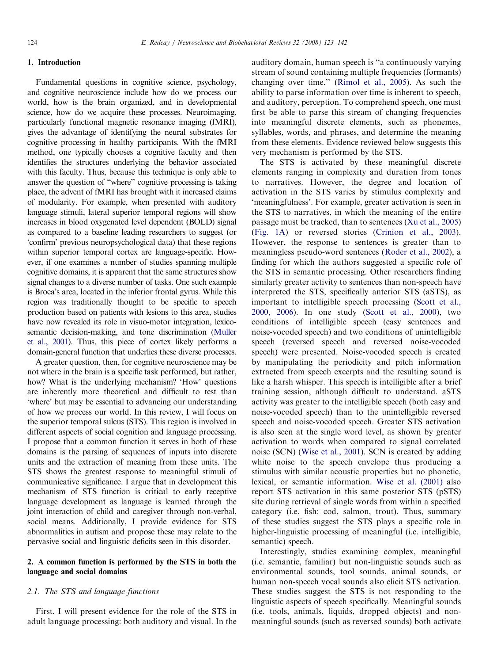# 1. Introduction

Fundamental questions in cognitive science, psychology, and cognitive neuroscience include how do we process our world, how is the brain organized, and in developmental science, how do we acquire these processes. Neuroimaging, particularly functional magnetic resonance imaging (fMRI), gives the advantage of identifying the neural substrates for cognitive processing in healthy participants. With the fMRI method, one typically chooses a cognitive faculty and then identifies the structures underlying the behavior associated with this faculty. Thus, because this technique is only able to answer the question of ''where'' cognitive processing is taking place, the advent of fMRI has brought with it increased claims of modularity. For example, when presented with auditory language stimuli, lateral superior temporal regions will show increases in blood oxygenated level dependent (BOLD) signal as compared to a baseline leading researchers to suggest (or 'confirm' previous neuropsychological data) that these regions within superior temporal cortex are language-specific. However, if one examines a number of studies spanning multiple cognitive domains, it is apparent that the same structures show signal changes to a diverse number of tasks. One such example is Broca's area, located in the inferior frontal gyrus. While this region was traditionally thought to be specific to speech production based on patients with lesions to this area, studies have now revealed its role in visuo-motor integration, lexicosemantic decision-making, and tone discrimination [\(Muller](#page-17-0) [et al., 2001\)](#page-17-0). Thus, this piece of cortex likely performs a domain-general function that underlies these diverse processes.

A greater question, then, for cognitive neuroscience may be not where in the brain is a specific task performed, but rather, how? What is the underlying mechanism? 'How' questions are inherently more theoretical and difficult to test than 'where' but may be essential to advancing our understanding of how we process our world. In this review, I will focus on the superior temporal sulcus (STS). This region is involved in different aspects of social cognition and language processing. I propose that a common function it serves in both of these domains is the parsing of sequences of inputs into discrete units and the extraction of meaning from these units. The STS shows the greatest response to meaningful stimuli of communicative significance. I argue that in development this mechanism of STS function is critical to early receptive language development as language is learned through the joint interaction of child and caregiver through non-verbal, social means. Additionally, I provide evidence for STS abnormalities in autism and propose these may relate to the pervasive social and linguistic deficits seen in this disorder.

# 2. A common function is performed by the STS in both the language and social domains

# 2.1. The STS and language functions

First, I will present evidence for the role of the STS in adult language processing: both auditory and visual. In the auditory domain, human speech is ''a continuously varying stream of sound containing multiple frequencies (formants) changing over time.'' [\(Rimol et al., 2005](#page-18-0)). As such the ability to parse information over time is inherent to speech, and auditory, perception. To comprehend speech, one must first be able to parse this stream of changing frequencies into meaningful discrete elements, such as phonemes, syllables, words, and phrases, and determine the meaning from these elements. Evidence reviewed below suggests this very mechanism is performed by the STS.

The STS is activated by these meaningful discrete elements ranging in complexity and duration from tones to narratives. However, the degree and location of activation in the STS varies by stimulus complexity and 'meaningfulness'. For example, greater activation is seen in the STS to narratives, in which the meaning of the entire passage must be tracked, than to sentences [\(Xu et al., 2005](#page-19-0)) [\(Fig. 1A](#page-2-0)) or reversed stories ([Crinion et al., 2003\)](#page-16-0). However, the response to sentences is greater than to meaningless pseudo-word sentences ([Roder et al., 2002](#page-18-0)), a finding for which the authors suggested a specific role of the STS in semantic processing. Other researchers finding similarly greater activity to sentences than non-speech have interpreted the STS, specifically anterior STS (aSTS), as important to intelligible speech processing ([Scott et al.,](#page-18-0) [2000, 2006\)](#page-18-0). In one study [\(Scott et al., 2000](#page-18-0)), two conditions of intelligible speech (easy sentences and noise-vocoded speech) and two conditions of unintelligible speech (reversed speech and reversed noise-vocoded speech) were presented. Noise-vocoded speech is created by manipulating the periodicity and pitch information extracted from speech excerpts and the resulting sound is like a harsh whisper. This speech is intelligible after a brief training session, although difficult to understand. aSTS activity was greater to the intelligible speech (both easy and noise-vocoded speech) than to the unintelligible reversed speech and noise-vocoded speech. Greater STS activation is also seen at the single word level, as shown by greater activation to words when compared to signal correlated noise (SCN) [\(Wise et al., 2001](#page-19-0)). SCN is created by adding white noise to the speech envelope thus producing a stimulus with similar acoustic properties but no phonetic, lexical, or semantic information. [Wise et al. \(2001\)](#page-19-0) also report STS activation in this same posterior STS (pSTS) site during retrieval of single words from within a specified category (i.e. fish: cod, salmon, trout). Thus, summary of these studies suggest the STS plays a specific role in higher-linguistic processing of meaningful (i.e. intelligible, semantic) speech.

Interestingly, studies examining complex, meaningful (i.e. semantic, familiar) but non-linguistic sounds such as environmental sounds, tool sounds, animal sounds, or human non-speech vocal sounds also elicit STS activation. These studies suggest the STS is not responding to the linguistic aspects of speech specifically. Meaningful sounds (i.e. tools, animals, liquids, dropped objects) and nonmeaningful sounds (such as reversed sounds) both activate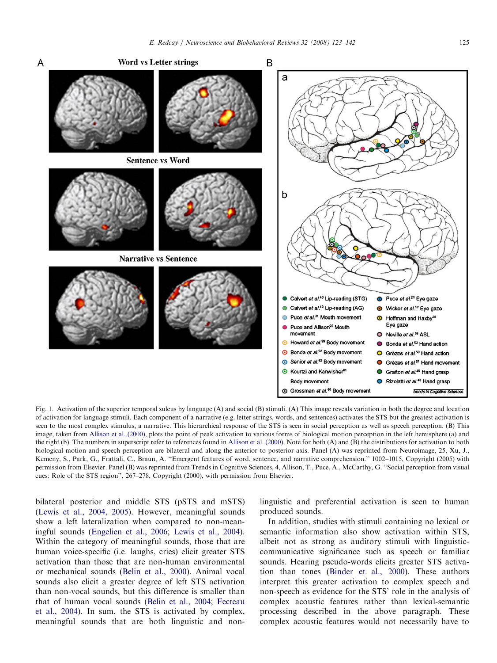<span id="page-2-0"></span>

Fig. 1. Activation of the superior temporal sulcus by language (A) and social (B) stimuli. (A) This image reveals variation in both the degree and location of activation for language stimuli. Each component of a narrative (e.g. letter strings, words, and sentences) activates the STS but the greatest activation is seen to the most complex stimulus, a narrative. This hierarchical response of the STS is seen in social perception as well as speech perception. (B) This image, taken from [Allison et al. \(2000\)](#page-15-0), plots the point of peak activation to various forms of biological motion perception in the left hemisphere (a) and the right (b). The numbers in superscript refer to references found in [Allison et al. \(2000\)](#page-15-0). Note for both (A) and (B) the distributions for activation to both biological motion and speech perception are bilateral and along the anterior to posterior axis. Panel (A) was reprinted from Neuroimage, 25, Xu, J., Kemeny, S., Park, G., Frattali, C., Braun, A. ''Emergent features of word, sentence, and narrative comprehension.'' 1002–1015, Copyright (2005) with permission from Elsevier. Panel (B) was reprinted from Trends in Cognitive Sciences, 4, Allison, T., Puce, A., McCarthy, G. ''Social perception from visual cues: Role of the STS region'', 267–278, Copyright (2000), with permission from Elsevier.

bilateral posterior and middle STS (pSTS and mSTS) ([Lewis et al., 2004, 2005\)](#page-17-0). However, meaningful sounds show a left lateralization when compared to non-meaningful sounds ([Engelien et al., 2006;](#page-16-0) [Lewis et al., 2004\)](#page-17-0). Within the category of meaningful sounds, those that are human voice-specific (i.e. laughs, cries) elicit greater STS activation than those that are non-human environmental or mechanical sounds ([Belin et al., 2000\)](#page-15-0). Animal vocal sounds also elicit a greater degree of left STS activation than non-vocal sounds, but this difference is smaller than that of human vocal sounds [\(Belin et al., 2004;](#page-15-0) [Fecteau](#page-16-0) [et al., 2004](#page-16-0)). In sum, the STS is activated by complex, meaningful sounds that are both linguistic and nonlinguistic and preferential activation is seen to human produced sounds.

In addition, studies with stimuli containing no lexical or semantic information also show activation within STS, albeit not as strong as auditory stimuli with linguisticcommunicative significance such as speech or familiar sounds. Hearing pseudo-words elicits greater STS activation than tones ([Binder et al., 2000](#page-15-0)). These authors interpret this greater activation to complex speech and non-speech as evidence for the STS' role in the analysis of complex acoustic features rather than lexical-semantic processing described in the above paragraph. These complex acoustic features would not necessarily have to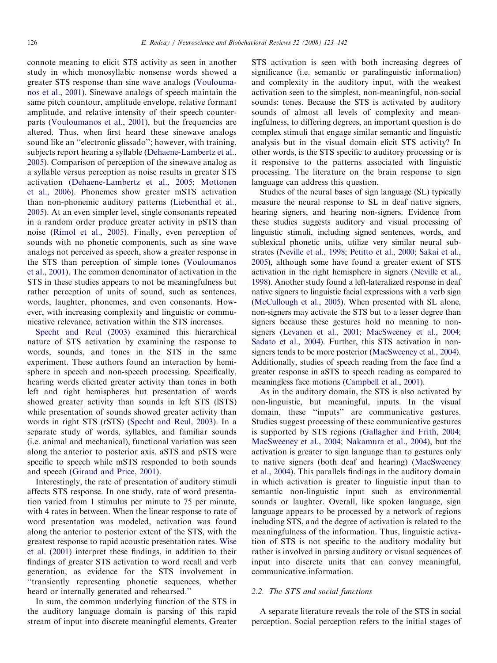connote meaning to elicit STS activity as seen in another study in which monosyllabic nonsense words showed a greater STS response than sine wave analogs [\(Voulouma](#page-18-0)[nos et al., 2001](#page-18-0)). Sinewave analogs of speech maintain the same pitch countour, amplitude envelope, relative formant amplitude, and relative intensity of their speech counterparts [\(Vouloumanos et al., 2001\)](#page-18-0), but the frequencies are altered. Thus, when first heard these sinewave analogs sound like an ''electronic glissado''; however, with training, subjects report hearing a syllable [\(Dehaene-Lambertz et al.,](#page-16-0) [2005\)](#page-16-0). Comparison of perception of the sinewave analog as a syllable versus perception as noise results in greater STS activation ([Dehaene-Lambertz et al., 2005;](#page-16-0) [Mottonen](#page-17-0) [et al., 2006](#page-17-0)). Phonemes show greater mSTS activation than non-phonemic auditory patterns ([Liebenthal et al.,](#page-17-0) [2005\)](#page-17-0). At an even simpler level, single consonants repeated in a random order produce greater activity in pSTS than noise ([Rimol et al., 2005\)](#page-18-0). Finally, even perception of sounds with no phonetic components, such as sine wave analogs not perceived as speech, show a greater response in the STS than perception of simple tones ([Vouloumanos](#page-18-0) [et al., 2001\)](#page-18-0). The common denominator of activation in the STS in these studies appears to not be meaningfulness but rather perception of units of sound, such as sentences, words, laughter, phonemes, and even consonants. However, with increasing complexity and linguistic or communicative relevance, activation within the STS increases.

[Specht and Reul \(2003\)](#page-18-0) examined this hierarchical nature of STS activation by examining the response to words, sounds, and tones in the STS in the same experiment. These authors found an interaction by hemisphere in speech and non-speech processing. Specifically, hearing words elicited greater activity than tones in both left and right hemispheres but presentation of words showed greater activity than sounds in left STS (lSTS) while presentation of sounds showed greater activity than words in right STS (rSTS) [\(Specht and Reul, 2003\)](#page-18-0). In a separate study of words, syllables, and familiar sounds (i.e. animal and mechanical), functional variation was seen along the anterior to posterior axis. aSTS and pSTS were specific to speech while mSTS responded to both sounds and speech ([Giraud and Price, 2001](#page-16-0)).

Interestingly, the rate of presentation of auditory stimuli affects STS response. In one study, rate of word presentation varied from 1 stimulus per minute to 75 per minute, with 4 rates in between. When the linear response to rate of word presentation was modeled, activation was found along the anterior to posterior extent of the STS, with the greatest response to rapid acoustic presentation rates. [Wise](#page-19-0) [et al. \(2001\)](#page-19-0) interpret these findings, in addition to their findings of greater STS activation to word recall and verb generation, as evidence for the STS involvement in ''transiently representing phonetic sequences, whether heard or internally generated and rehearsed.''

In sum, the common underlying function of the STS in the auditory language domain is parsing of this rapid stream of input into discrete meaningful elements. Greater

STS activation is seen with both increasing degrees of significance (i.e. semantic or paralinguistic information) and complexity in the auditory input, with the weakest activation seen to the simplest, non-meaningful, non-social sounds: tones. Because the STS is activated by auditory sounds of almost all levels of complexity and meaningfulness, to differing degrees, an important question is do complex stimuli that engage similar semantic and linguistic analysis but in the visual domain elicit STS activity? In other words, is the STS specific to auditory processing or is it responsive to the patterns associated with linguistic processing. The literature on the brain response to sign language can address this question.

Studies of the neural bases of sign language (SL) typically measure the neural response to SL in deaf native signers, hearing signers, and hearing non-signers. Evidence from these studies suggests auditory and visual processing of linguistic stimuli, including signed sentences, words, and sublexical phonetic units, utilize very similar neural substrates ([Neville et al., 1998;](#page-17-0) [Petitto et al., 2000;](#page-18-0) [Sakai et al.,](#page-18-0) [2005](#page-18-0)), although some have found a greater extent of STS activation in the right hemisphere in signers [\(Neville et al.,](#page-17-0) [1998](#page-17-0)). Another study found a left-lateralized response in deaf native signers to linguistic facial expressions with a verb sign [\(McCullough et al., 2005](#page-17-0)). When presented with SL alone, non-signers may activate the STS but to a lesser degree than signers because these gestures hold no meaning to nonsigners ([Levanen et al., 2001;](#page-17-0) [MacSweeney et al., 2004](#page-17-0); [Sadato et al., 2004\)](#page-18-0). Further, this STS activation in nonsigners tends to be more posterior [\(MacSweeney et al., 2004\)](#page-17-0). Additionally, studies of speech reading from the face find a greater response in aSTS to speech reading as compared to meaningless face motions [\(Campbell et al., 2001](#page-16-0)).

As in the auditory domain, the STS is also activated by non-linguistic, but meaningful, inputs. In the visual domain, these ''inputs'' are communicative gestures. Studies suggest processing of these communicative gestures is supported by STS regions [\(Gallagher and Frith, 2004](#page-16-0); [MacSweeney et al., 2004](#page-17-0); [Nakamura et al., 2004](#page-17-0)), but the activation is greater to sign language than to gestures only to native signers (both deaf and hearing) [\(MacSweeney](#page-17-0) [et al., 2004](#page-17-0)). This parallels findings in the auditory domain in which activation is greater to linguistic input than to semantic non-linguistic input such as environmental sounds or laughter. Overall, like spoken language, sign language appears to be processed by a network of regions including STS, and the degree of activation is related to the meaningfulness of the information. Thus, linguistic activation of STS is not specific to the auditory modality but rather is involved in parsing auditory or visual sequences of input into discrete units that can convey meaningful, communicative information.

## 2.2. The STS and social functions

A separate literature reveals the role of the STS in social perception. Social perception refers to the initial stages of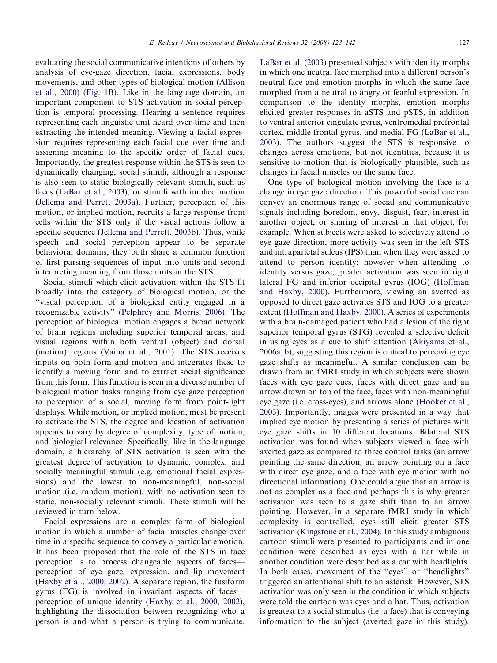evaluating the social communicative intentions of others by analysis of eye-gaze direction, facial expressions, body movements, and other types of biological motion ([Allison](#page-15-0) [et al., 2000](#page-15-0)) [\(Fig. 1B](#page-2-0)). Like in the language domain, an important component to STS activation in social perception is temporal processing. Hearing a sentence requires representing each linguistic unit heard over time and then extracting the intended meaning. Viewing a facial expression requires representing each facial cue over time and assigning meaning to the specific order of facial cues. Importantly, the greatest response within the STS is seen to dynamically changing, social stimuli, although a response is also seen to static biologically relevant stimuli, such as faces [\(LaBar et al., 2003](#page-17-0)), or stimuli with implied motion ([Jellema and Perrett 2003a\)](#page-17-0). Further, perception of this motion, or implied motion, recruits a large response from cells within the STS only if the visual actions follow a specific sequence ([Jellema and Perrett, 2003b\)](#page-17-0). Thus, while speech and social perception appear to be separate behavioral domains, they both share a common function of first parsing sequences of input into units and second interpreting meaning from those units in the STS.

Social stimuli which elicit activation within the STS fit broadly into the category of biological motion, or the ''visual perception of a biological entity engaged in a recognizable activity'' ([Pelphrey and Morris, 2006](#page-18-0)). The perception of biological motion engages a broad network of brain regions including superior temporal areas, and visual regions within both ventral (object) and dorsal (motion) regions [\(Vaina et al., 2001](#page-18-0)). The STS receives inputs on both form and motion and integrates these to identify a moving form and to extract social significance from this form. This function is seen in a diverse number of biological motion tasks ranging from eye gaze perception to perception of a social, moving form from point-light displays. While motion, or implied motion, must be present to activate the STS, the degree and location of activation appears to vary by degree of complexity, type of motion, and biological relevance. Specifically, like in the language domain, a hierarchy of STS activation is seen with the greatest degree of activation to dynamic, complex, and socially meaningful stimuli (e.g. emotional facial expressions) and the lowest to non-meaningful, non-social motion (i.e. random motion), with no activation seen to static, non-socially relevant stimuli. These stimuli will be reviewed in turn below.

Facial expressions are a complex form of biological motion in which a number of facial muscles change over time in a specific sequence to convey a particular emotion. It has been proposed that the role of the STS in face perception is to process changeable aspects of faces perception of eye gaze, expression, and lip movement ([Haxby et al., 2000, 2002](#page-16-0)). A separate region, the fusiform gyrus (FG) is involved in invariant aspects of faces perception of unique identity [\(Haxby et al., 2000, 2002\)](#page-16-0), highlighting the dissociation between recognizing who a person is and what a person is trying to communicate. [LaBar et al. \(2003\)](#page-17-0) presented subjects with identity morphs in which one neutral face morphed into a different person's neutral face and emotion morphs in which the same face morphed from a neutral to angry or fearful expression. In comparison to the identity morphs, emotion morphs elicited greater responses in aSTS and pSTS, in addition to ventral anterior cingulate gyrus, ventromedial prefrontal cortex, middle frontal gyrus, and medial FG ([LaBar et al.,](#page-17-0) [2003](#page-17-0)). The authors suggest the STS is responsive to changes across emotions, but not identities, because it is sensitive to motion that is biologically plausible, such as changes in facial muscles on the same face.

One type of biological motion involving the face is a change in eye gaze direction. This powerful social cue can convey an enormous range of social and communicative signals including boredom, envy, disgust, fear, interest in another object, or sharing of interest in that object, for example. When subjects were asked to selectively attend to eye gaze direction, more activity was seen in the left STS and intraparietal sulcus (IPS) than when they were asked to attend to person identity; however when attending to identity versus gaze, greater activation was seen in right lateral FG and inferior occipital gyrus (IOG) [\(Hoffman](#page-17-0) [and Haxby, 2000](#page-17-0)). Furthermore, viewing an averted as opposed to direct gaze activates STS and IOG to a greater extent [\(Hoffman and Haxby, 2000\)](#page-17-0). A series of experiments with a brain-damaged patient who had a lesion of the right superior temporal gyrus (STG) revealed a selective deficit in using eyes as a cue to shift attention [\(Akiyama et al.,](#page-15-0) [2006a, b](#page-15-0)), suggesting this region is critical to perceiving eye gaze shifts as meaningful. A similar conclusion can be drawn from an fMRI study in which subjects were shown faces with eye gaze cues, faces with direct gaze and an arrow drawn on top of the face, faces with non-meaningful eye gaze (i.e. cross-eyes), and arrows alone [\(Hooker et al.,](#page-17-0) [2003](#page-17-0)). Importantly, images were presented in a way that implied eye motion by presenting a series of pictures with eye gaze shifts in 10 different locations. Bilateral STS activation was found when subjects viewed a face with averted gaze as compared to three control tasks (an arrow pointing the same direction, an arrow pointing on a face with direct eye gaze, and a face with eye motion with no directional information). One could argue that an arrow is not as complex as a face and perhaps this is why greater activation was seen to a gaze shift than to an arrow pointing. However, in a separate fMRI study in which complexity is controlled, eyes still elicit greater STS activation ([Kingstone et al., 2004\)](#page-17-0). In this study ambiguous cartoon stimuli were presented to participants and in one condition were described as eyes with a hat while in another condition were described as a car with headlights. In both cases, movement of the ''eyes'' or ''headlights'' triggered an attentional shift to an asterisk. However, STS activation was only seen in the condition in which subjects were told the cartoon was eyes and a hat. Thus, activation is greatest to a social stimulus (i.e. a face) that is conveying information to the subject (averted gaze in this study).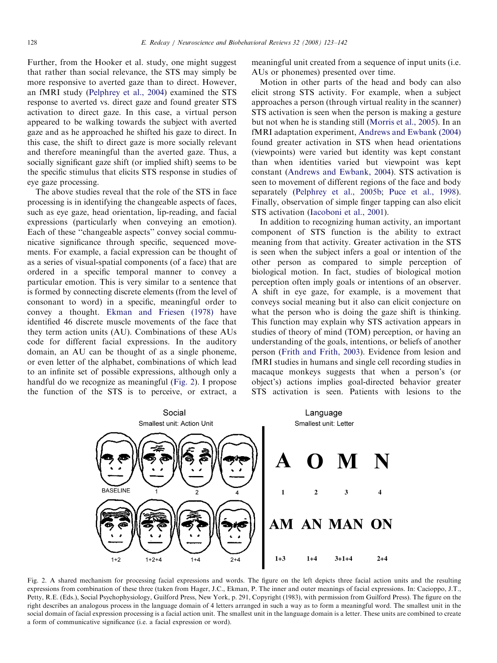Further, from the Hooker et al. study, one might suggest that rather than social relevance, the STS may simply be more responsive to averted gaze than to direct. However, an fMRI study ([Pelphrey et al., 2004\)](#page-18-0) examined the STS response to averted vs. direct gaze and found greater STS activation to direct gaze. In this case, a virtual person appeared to be walking towards the subject with averted gaze and as he approached he shifted his gaze to direct. In this case, the shift to direct gaze is more socially relevant and therefore meaningful than the averted gaze. Thus, a socially significant gaze shift (or implied shift) seems to be the specific stimulus that elicits STS response in studies of eye gaze processing.

The above studies reveal that the role of the STS in face processing is in identifying the changeable aspects of faces, such as eye gaze, head orientation, lip-reading, and facial expressions (particularly when conveying an emotion). Each of these "changeable aspects" convey social communicative significance through specific, sequenced movements. For example, a facial expression can be thought of as a series of visual-spatial components (of a face) that are ordered in a specific temporal manner to convey a particular emotion. This is very similar to a sentence that is formed by connecting discrete elements (from the level of consonant to word) in a specific, meaningful order to convey a thought. [Ekman and Friesen \(1978\)](#page-16-0) have identified 46 discrete muscle movements of the face that they term action units (AU). Combinations of these AUs code for different facial expressions. In the auditory domain, an AU can be thought of as a single phoneme, or even letter of the alphabet, combinations of which lead to an infinite set of possible expressions, although only a handful do we recognize as meaningful (Fig. 2). I propose the function of the STS is to perceive, or extract, a meaningful unit created from a sequence of input units (i.e. AUs or phonemes) presented over time.

Motion in other parts of the head and body can also elicit strong STS activity. For example, when a subject approaches a person (through virtual reality in the scanner) STS activation is seen when the person is making a gesture but not when he is standing still [\(Morris et al., 2005\)](#page-17-0). In an fMRI adaptation experiment, [Andrews and Ewbank \(2004\)](#page-15-0) found greater activation in STS when head orientations (viewpoints) were varied but identity was kept constant than when identities varied but viewpoint was kept constant [\(Andrews and Ewbank, 2004\)](#page-15-0). STS activation is seen to movement of different regions of the face and body separately [\(Pelphrey et al., 2005b](#page-18-0); [Puce et al., 1998\)](#page-18-0). Finally, observation of simple finger tapping can also elicit STS activation ([Iacoboni et al., 2001](#page-17-0)).

In addition to recognizing human activity, an important component of STS function is the ability to extract meaning from that activity. Greater activation in the STS is seen when the subject infers a goal or intention of the other person as compared to simple perception of biological motion. In fact, studies of biological motion perception often imply goals or intentions of an observer. A shift in eye gaze, for example, is a movement that conveys social meaning but it also can elicit conjecture on what the person who is doing the gaze shift is thinking. This function may explain why STS activation appears in studies of theory of mind (TOM) perception, or having an understanding of the goals, intentions, or beliefs of another person [\(Frith and Frith, 2003\)](#page-16-0). Evidence from lesion and fMRI studies in humans and single cell recording studies in macaque monkeys suggests that when a person's (or object's) actions implies goal-directed behavior greater STS activation is seen. Patients with lesions to the



Fig. 2. A shared mechanism for processing facial expressions and words. The figure on the left depicts three facial action units and the resulting expressions from combination of these three (taken from Hager, J.C., Ekman, P. The inner and outer meanings of facial expressions. In: Cacioppo, J.T., Petty, R.E. (Eds.), Social Psychophysiology, Guilford Press, New York, p. 291, Copyright (1983), with permission from Guilford Press). The figure on the right describes an analogous process in the language domain of 4 letters arranged in such a way as to form a meaningful word. The smallest unit in the social domain of facial expression processing is a facial action unit. The smallest unit in the language domain is a letter. These units are combined to create a form of communicative significance (i.e. a facial expression or word).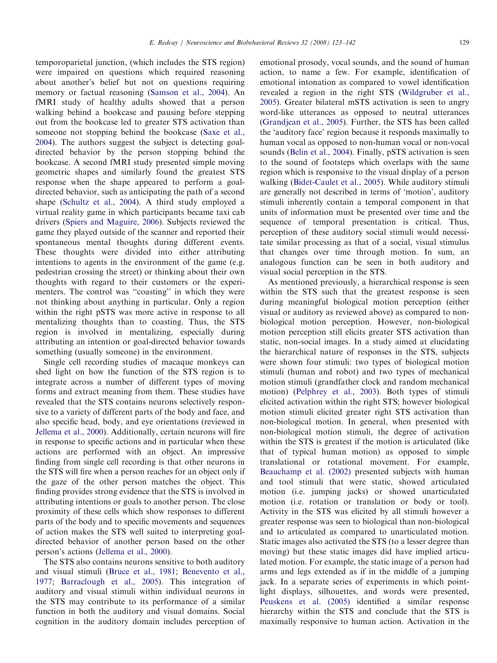temporoparietal junction, (which includes the STS region) were impaired on questions which required reasoning about another's belief but not on questions requiring memory or factual reasoning [\(Samson et al., 2004](#page-18-0)). An fMRI study of healthy adults showed that a person walking behind a bookcase and pausing before stepping out from the bookcase led to greater STS activation than someone not stopping behind the bookcase ([Saxe et al.,](#page-18-0) [2004](#page-18-0)). The authors suggest the subject is detecting goaldirected behavior by the person stopping behind the bookcase. A second fMRI study presented simple moving geometric shapes and similarly found the greatest STS response when the shape appeared to perform a goaldirected behavior, such as anticipating the path of a second shape [\(Schultz et al., 2004](#page-18-0)). A third study employed a virtual reality game in which participants became taxi cab drivers ([Spiers and Maguire, 2006\)](#page-18-0). Subjects reviewed the game they played outside of the scanner and reported their spontaneous mental thoughts during different events. These thoughts were divided into either attributing intentions to agents in the environment of the game (e.g. pedestrian crossing the street) or thinking about their own thoughts with regard to their customers or the experimenters. The control was ''coasting'' in which they were not thinking about anything in particular. Only a region within the right pSTS was more active in response to all mentalizing thoughts than to coasting. Thus, the STS region is involved in mentalizing, especially during

something (usually someone) in the environment. Single cell recording studies of macaque monkeys can shed light on how the function of the STS region is to integrate across a number of different types of moving forms and extract meaning from them. These studies have revealed that the STS contains neurons selectively responsive to a variety of different parts of the body and face, and also specific head, body, and eye orientations (reviewed in [Jellema et al., 2000\)](#page-17-0). Additionally, certain neurons will fire in response to specific actions and in particular when these actions are performed with an object. An impressive finding from single cell recording is that other neurons in the STS will fire when a person reaches for an object only if the gaze of the other person matches the object. This finding provides strong evidence that the STS is involved in attributing intentions or goals to another person. The close proximity of these cells which show responses to different parts of the body and to specific movements and sequences of action makes the STS well suited to interpreting goaldirected behavior of another person based on the other person's actions ([Jellema et al., 2000](#page-17-0)).

attributing an intention or goal-directed behavior towards

The STS also contains neurons sensitive to both auditory and visual stimuli [\(Bruce et al., 1981;](#page-15-0) [Benevento et al.,](#page-15-0) [1977](#page-15-0); [Barraclough et al., 2005\)](#page-15-0). This integration of auditory and visual stimuli within individual neurons in the STS may contribute to its performance of a similar function in both the auditory and visual domains. Social cognition in the auditory domain includes perception of emotional prosody, vocal sounds, and the sound of human action, to name a few. For example, identification of emotional intonation as compared to vowel identification revealed a region in the right STS [\(Wildgruber et al.,](#page-19-0) [2005](#page-19-0)). Greater bilateral mSTS activation is seen to angry word-like utterances as opposed to neutral utterances ([Grandjean et al., 2005](#page-16-0)). Further, the STS has been called the 'auditory face' region because it responds maximally to human vocal as opposed to non-human vocal or non-vocal sounds [\(Belin et al., 2004\)](#page-15-0). Finally, pSTS activation is seen to the sound of footsteps which overlaps with the same region which is responsive to the visual display of a person walking ([Bidet-Caulet et al., 2005](#page-15-0)). While auditory stimuli are generally not described in terms of 'motion', auditory stimuli inherently contain a temporal component in that units of information must be presented over time and the sequence of temporal presentation is critical. Thus, perception of these auditory social stimuli would necessitate similar processing as that of a social, visual stimulus that changes over time through motion. In sum, an analogous function can be seen in both auditory and visual social perception in the STS.

As mentioned previously, a hierarchical response is seen within the STS such that the greatest response is seen during meaningful biological motion perception (either visual or auditory as reviewed above) as compared to nonbiological motion perception. However, non-biological motion perception still elicits greater STS activation than static, non-social images. In a study aimed at elucidating the hierarchical nature of responses in the STS, subjects were shown four stimuli: two types of biological motion stimuli (human and robot) and two types of mechanical motion stimuli (grandfather clock and random mechanical motion) ([Pelphrey et al., 2003](#page-18-0)). Both types of stimuli elicited activation within the right STS; however biological motion stimuli elicited greater right STS activation than non-biological motion. In general, when presented with non-biological motion stimuli, the degree of activation within the STS is greatest if the motion is articulated (like that of typical human motion) as opposed to simple translational or rotational movement. For example, [Beauchamp et al. \(2002\)](#page-15-0) presented subjects with human and tool stimuli that were static, showed articulated motion (i.e. jumping jacks) or showed unarticulated motion (i.e. rotation or translation or body or tool). Activity in the STS was elicited by all stimuli however a greater response was seen to biological than non-biological and to articulated as compared to unarticulated motion. Static images also activated the STS (to a lesser degree than moving) but these static images did have implied articulated motion. For example, the static image of a person had arms and legs extended as if in the middle of a jumping jack. In a separate series of experiments in which pointlight displays, silhouettes, and words were presented, [Peuskens et al. \(2005\)](#page-18-0) identified a similar response hierarchy within the STS and conclude that the STS is maximally responsive to human action. Activation in the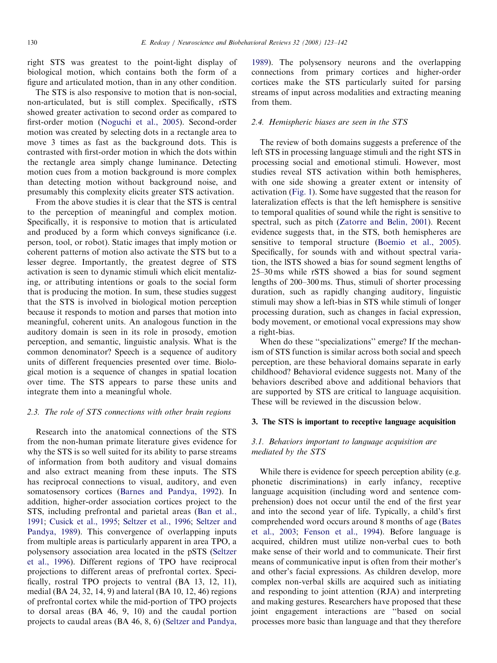right STS was greatest to the point-light display of biological motion, which contains both the form of a figure and articulated motion, than in any other condition.

The STS is also responsive to motion that is non-social, non-articulated, but is still complex. Specifically, rSTS showed greater activation to second order as compared to first-order motion ([Noguchi et al., 2005\)](#page-17-0). Second-order motion was created by selecting dots in a rectangle area to move 3 times as fast as the background dots. This is contrasted with first-order motion in which the dots within the rectangle area simply change luminance. Detecting motion cues from a motion background is more complex than detecting motion without background noise, and presumably this complexity elicits greater STS activation.

From the above studies it is clear that the STS is central to the perception of meaningful and complex motion. Specifically, it is responsive to motion that is articulated and produced by a form which conveys significance (i.e. person, tool, or robot). Static images that imply motion or coherent patterns of motion also activate the STS but to a lesser degree. Importantly, the greatest degree of STS activation is seen to dynamic stimuli which elicit mentalizing, or attributing intentions or goals to the social form that is producing the motion. In sum, these studies suggest that the STS is involved in biological motion perception because it responds to motion and parses that motion into meaningful, coherent units. An analogous function in the auditory domain is seen in its role in prosody, emotion perception, and semantic, linguistic analysis. What is the common denominator? Speech is a sequence of auditory units of different frequencies presented over time. Biological motion is a sequence of changes in spatial location over time. The STS appears to parse these units and integrate them into a meaningful whole.

## 2.3. The role of STS connections with other brain regions

Research into the anatomical connections of the STS from the non-human primate literature gives evidence for why the STS is so well suited for its ability to parse streams of information from both auditory and visual domains and also extract meaning from these inputs. The STS has reciprocal connections to visual, auditory, and even somatosensory cortices ([Barnes and Pandya, 1992](#page-15-0)). In addition, higher-order association cortices project to the STS, including prefrontal and parietal areas ([Ban et al.,](#page-15-0) [1991;](#page-15-0) [Cusick et al., 1995;](#page-16-0) [Seltzer et al., 1996;](#page-18-0) [Seltzer and](#page-18-0) [Pandya, 1989\)](#page-18-0). This convergence of overlapping inputs from multiple areas is particularly apparent in area TPO, a polysensory association area located in the pSTS [\(Seltzer](#page-18-0) [et al., 1996](#page-18-0)). Different regions of TPO have reciprocal projections to different areas of prefrontal cortex. Specifically, rostral TPO projects to ventral (BA 13, 12, 11), medial (BA 24, 32, 14, 9) and lateral (BA 10, 12, 46) regions of prefrontal cortex while the mid-portion of TPO projects to dorsal areas (BA 46, 9, 10) and the caudal portion projects to caudal areas (BA 46, 8, 6) ([Seltzer and Pandya,](#page-18-0) [1989\)](#page-18-0). The polysensory neurons and the overlapping connections from primary cortices and higher-order cortices make the STS particularly suited for parsing streams of input across modalities and extracting meaning from them.

## 2.4. Hemispheric biases are seen in the STS

The review of both domains suggests a preference of the left STS in processing language stimuli and the right STS in processing social and emotional stimuli. However, most studies reveal STS activation within both hemispheres, with one side showing a greater extent or intensity of activation ([Fig. 1](#page-2-0)). Some have suggested that the reason for lateralization effects is that the left hemisphere is sensitive to temporal qualities of sound while the right is sensitive to spectral, such as pitch [\(Zatorre and Belin, 2001\)](#page-19-0). Recent evidence suggests that, in the STS, both hemispheres are sensitive to temporal structure ([Boemio et al., 2005\)](#page-15-0). Specifically, for sounds with and without spectral variation, the lSTS showed a bias for sound segment lengths of 25–30 ms while rSTS showed a bias for sound segment lengths of 200–300 ms. Thus, stimuli of shorter processing duration, such as rapidly changing auditory, linguistic stimuli may show a left-bias in STS while stimuli of longer processing duration, such as changes in facial expression, body movement, or emotional vocal expressions may show a right-bias.

When do these "specializations" emerge? If the mechanism of STS function is similar across both social and speech perception, are these behavioral domains separate in early childhood? Behavioral evidence suggests not. Many of the behaviors described above and additional behaviors that are supported by STS are critical to language acquisition. These will be reviewed in the discussion below.

## 3. The STS is important to receptive language acquisition

# 3.1. Behaviors important to language acquisition are mediated by the STS

While there is evidence for speech perception ability (e.g. phonetic discriminations) in early infancy, receptive language acquisition (including word and sentence comprehension) does not occur until the end of the first year and into the second year of life. Typically, a child's first comprehended word occurs around 8 months of age ([Bates](#page-15-0) [et al., 2003](#page-15-0); [Fenson et al., 1994](#page-16-0)). Before language is acquired, children must utilize non-verbal cues to both make sense of their world and to communicate. Their first means of communicative input is often from their mother's and other's facial expressions. As children develop, more complex non-verbal skills are acquired such as initiating and responding to joint attention (RJA) and interpreting and making gestures. Researchers have proposed that these joint engagement interactions are ''based on social processes more basic than language and that they therefore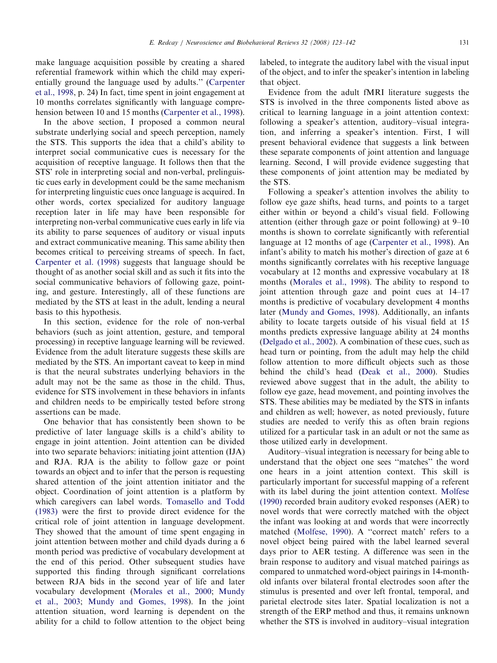make language acquisition possible by creating a shared referential framework within which the child may experientially ground the language used by adults.'' ([Carpenter](#page-16-0) [et al., 1998](#page-16-0), p. 24) In fact, time spent in joint engagement at 10 months correlates significantly with language comprehension between 10 and 15 months [\(Carpenter et al., 1998\)](#page-16-0).

In the above section, I proposed a common neural substrate underlying social and speech perception, namely the STS. This supports the idea that a child's ability to interpret social communicative cues is necessary for the acquisition of receptive language. It follows then that the STS' role in interpreting social and non-verbal, prelinguistic cues early in development could be the same mechanism for interpreting linguistic cues once language is acquired. In other words, cortex specialized for auditory language reception later in life may have been responsible for interpreting non-verbal communicative cues early in life via its ability to parse sequences of auditory or visual inputs and extract communicative meaning. This same ability then becomes critical to perceiving streams of speech. In fact, [Carpenter et al. \(1998\)](#page-16-0) suggests that language should be thought of as another social skill and as such it fits into the social communicative behaviors of following gaze, pointing, and gesture. Interestingly, all of these functions are mediated by the STS at least in the adult, lending a neural basis to this hypothesis.

In this section, evidence for the role of non-verbal behaviors (such as joint attention, gesture, and temporal processing) in receptive language learning will be reviewed. Evidence from the adult literature suggests these skills are mediated by the STS. An important caveat to keep in mind is that the neural substrates underlying behaviors in the adult may not be the same as those in the child. Thus, evidence for STS involvement in these behaviors in infants and children needs to be empirically tested before strong assertions can be made.

One behavior that has consistently been shown to be predictive of later language skills is a child's ability to engage in joint attention. Joint attention can be divided into two separate behaviors: initiating joint attention (IJA) and RJA. RJA is the ability to follow gaze or point towards an object and to infer that the person is requesting shared attention of the joint attention initiator and the object. Coordination of joint attention is a platform by which caregivers can label words. [Tomasello and Todd](#page-18-0) [\(1983\)](#page-18-0) were the first to provide direct evidence for the critical role of joint attention in language development. They showed that the amount of time spent engaging in joint attention between mother and child dyads during a 6 month period was predictive of vocabulary development at the end of this period. Other subsequent studies have supported this finding through significant correlations between RJA bids in the second year of life and later vocabulary development ([Morales et al., 2000](#page-17-0); [Mundy](#page-17-0) [et al., 2003](#page-17-0); [Mundy and Gomes, 1998\)](#page-17-0). In the joint attention situation, word learning is dependent on the ability for a child to follow attention to the object being labeled, to integrate the auditory label with the visual input of the object, and to infer the speaker's intention in labeling that object.

Evidence from the adult fMRI literature suggests the STS is involved in the three components listed above as critical to learning language in a joint attention context: following a speaker's attention, auditory–visual integration, and inferring a speaker's intention. First, I will present behavioral evidence that suggests a link between these separate components of joint attention and language learning. Second, I will provide evidence suggesting that these components of joint attention may be mediated by the STS.

Following a speaker's attention involves the ability to follow eye gaze shifts, head turns, and points to a target either within or beyond a child's visual field. Following attention (either through gaze or point following) at 9–10 months is shown to correlate significantly with referential language at 12 months of age [\(Carpenter et al., 1998\)](#page-16-0). An infant's ability to match his mother's direction of gaze at 6 months significantly correlates with his receptive language vocabulary at 12 months and expressive vocabulary at 18 months [\(Morales et al., 1998\)](#page-17-0). The ability to respond to joint attention through gaze and point cues at 14–17 months is predictive of vocabulary development 4 months later ([Mundy and Gomes, 1998](#page-17-0)). Additionally, an infants ability to locate targets outside of his visual field at 15 months predicts expressive language ability at 24 months ([Delgado et al., 2002](#page-16-0)). A combination of these cues, such as head turn or pointing, from the adult may help the child follow attention to more difficult objects such as those behind the child's head [\(Deak et al., 2000\)](#page-16-0). Studies reviewed above suggest that in the adult, the ability to follow eye gaze, head movement, and pointing involves the STS. These abilities may be mediated by the STS in infants and children as well; however, as noted previously, future studies are needed to verify this as often brain regions utilized for a particular task in an adult or not the same as those utilized early in development.

Auditory–visual integration is necessary for being able to understand that the object one sees ''matches'' the word one hears in a joint attention context. This skill is particularly important for successful mapping of a referent with its label during the joint attention context. [Molfese](#page-17-0) [\(1990\)](#page-17-0) recorded brain auditory evoked responses (AER) to novel words that were correctly matched with the object the infant was looking at and words that were incorrectly matched [\(Molfese, 1990\)](#page-17-0). A ''correct match' refers to a novel object being paired with the label learned several days prior to AER testing. A difference was seen in the brain response to auditory and visual matched pairings as compared to unmatched word-object pairings in 14-monthold infants over bilateral frontal electrodes soon after the stimulus is presented and over left frontal, temporal, and parietal electrode sites later. Spatial localization is not a strength of the ERP method and thus, it remains unknown whether the STS is involved in auditory–visual integration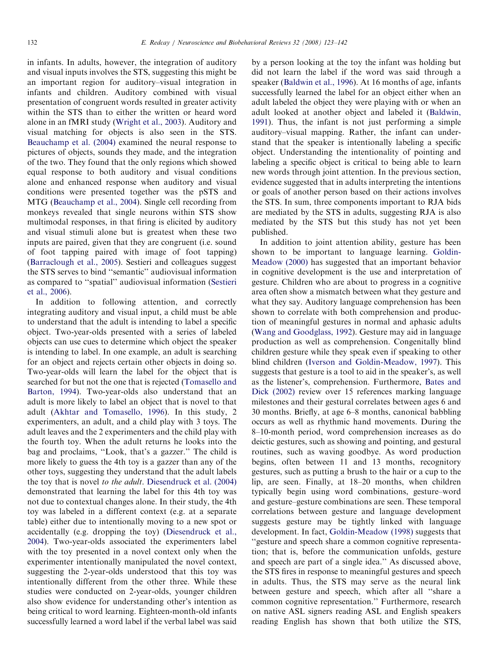in infants. In adults, however, the integration of auditory and visual inputs involves the STS, suggesting this might be an important region for auditory–visual integration in infants and children. Auditory combined with visual presentation of congruent words resulted in greater activity within the STS than to either the written or heard word alone in an fMRI study ([Wright et al., 2003](#page-19-0)). Auditory and visual matching for objects is also seen in the STS. [Beauchamp et al. \(2004\)](#page-15-0) examined the neural response to pictures of objects, sounds they made, and the integration of the two. They found that the only regions which showed equal response to both auditory and visual conditions alone and enhanced response when auditory and visual conditions were presented together was the pSTS and MTG ([Beauchamp et al., 2004\)](#page-15-0). Single cell recording from monkeys revealed that single neurons within STS show multimodal responses, in that firing is elicited by auditory and visual stimuli alone but is greatest when these two inputs are paired, given that they are congruent (i.e. sound of foot tapping paired with image of foot tapping) [\(Barraclough et al., 2005](#page-15-0)). Sestieri and colleagues suggest the STS serves to bind ''semantic'' audiovisual information as compared to ''spatial'' audiovisual information [\(Sestieri](#page-18-0) [et al., 2006](#page-18-0)).

In addition to following attention, and correctly integrating auditory and visual input, a child must be able to understand that the adult is intending to label a specific object. Two-year-olds presented with a series of labeled objects can use cues to determine which object the speaker is intending to label. In one example, an adult is searching for an object and rejects certain other objects in doing so. Two-year-olds will learn the label for the object that is searched for but not the one that is rejected ([Tomasello and](#page-18-0) [Barton, 1994\)](#page-18-0). Two-year-olds also understand that an adult is more likely to label an object that is novel to that adult [\(Akhtar and Tomasello, 1996](#page-15-0)). In this study, 2 experimenters, an adult, and a child play with 3 toys. The adult leaves and the 2 experimenters and the child play with the fourth toy. When the adult returns he looks into the bag and proclaims, ''Look, that's a gazzer.'' The child is more likely to guess the 4th toy is a gazzer than any of the other toys, suggesting they understand that the adult labels the toy that is novel to the adult. [Diesendruck et al. \(2004\)](#page-16-0) demonstrated that learning the label for this 4th toy was not due to contextual changes alone. In their study, the 4th toy was labeled in a different context (e.g. at a separate table) either due to intentionally moving to a new spot or accidentally (e.g. dropping the toy) [\(Diesendruck et al.,](#page-16-0) [2004\)](#page-16-0). Two-year-olds associated the experimenters label with the toy presented in a novel context only when the experimenter intentionally manipulated the novel context, suggesting the 2-year-olds understood that this toy was intentionally different from the other three. While these studies were conducted on 2-year-olds, younger children also show evidence for understanding other's intention as being critical to word learning. Eighteen-month-old infants successfully learned a word label if the verbal label was said by a person looking at the toy the infant was holding but did not learn the label if the word was said through a speaker ([Baldwin et al., 1996\)](#page-15-0). At 16 months of age, infants successfully learned the label for an object either when an adult labeled the object they were playing with or when an adult looked at another object and labeled it ([Baldwin,](#page-15-0) [1991\)](#page-15-0). Thus, the infant is not just performing a simple auditory–visual mapping. Rather, the infant can understand that the speaker is intentionally labeling a specific object. Understanding the intentionality of pointing and labeling a specific object is critical to being able to learn new words through joint attention. In the previous section, evidence suggested that in adults interpreting the intentions or goals of another person based on their actions involves the STS. In sum, three components important to RJA bids are mediated by the STS in adults, suggesting RJA is also mediated by the STS but this study has not yet been published.

In addition to joint attention ability, gesture has been shown to be important to language learning. [Goldin-](#page-16-0)[Meadow \(2000\)](#page-16-0) has suggested that an important behavior in cognitive development is the use and interpretation of gesture. Children who are about to progress in a cognitive area often show a mismatch between what they gesture and what they say. Auditory language comprehension has been shown to correlate with both comprehension and production of meaningful gestures in normal and aphasic adults [\(Wang and Goodglass, 1992](#page-19-0)). Gesture may aid in language production as well as comprehension. Congenitally blind children gesture while they speak even if speaking to other blind children ([Iverson and Goldin-Meadow, 1997\)](#page-17-0). This suggests that gesture is a tool to aid in the speaker's, as well as the listener's, comprehension. Furthermore, [Bates and](#page-15-0) [Dick \(2002\)](#page-15-0) review over 15 references marking language milestones and their gestural correlates between ages 6 and 30 months. Briefly, at age 6–8 months, canonical babbling occurs as well as rhythmic hand movements. During the 8–10-month period, word comprehension increases as do deictic gestures, such as showing and pointing, and gestural routines, such as waving goodbye. As word production begins, often between 11 and 13 months, recognitory gestures, such as putting a brush to the hair or a cup to the lip, are seen. Finally, at 18–20 months, when children typically begin using word combinations, gesture–word and gesture–gesture combinations are seen. These temporal correlations between gesture and language development suggests gesture may be tightly linked with language development. In fact, [Goldin-Meadow \(1998\)](#page-16-0) suggests that ''gesture and speech share a common cognitive representation; that is, before the communication unfolds, gesture and speech are part of a single idea.'' As discussed above, the STS fires in response to meaningful gestures and speech in adults. Thus, the STS may serve as the neural link between gesture and speech, which after all ''share a common cognitive representation.'' Furthermore, research on native ASL signers reading ASL and English speakers reading English has shown that both utilize the STS,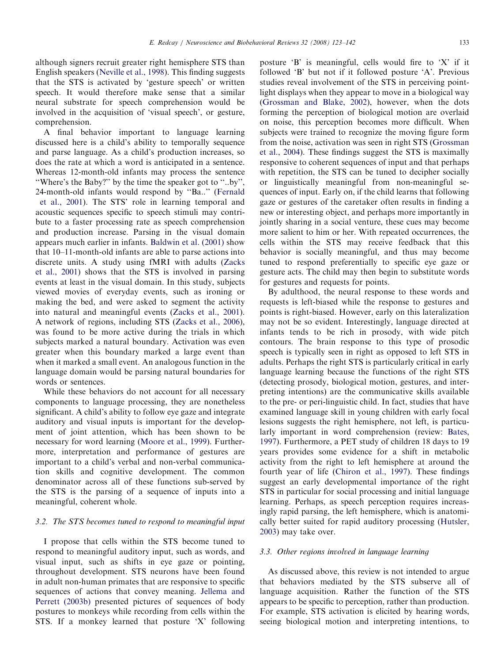although signers recruit greater right hemisphere STS than English speakers ([Neville et al., 1998](#page-17-0)). This finding suggests that the STS is activated by 'gesture speech' or written speech. It would therefore make sense that a similar neural substrate for speech comprehension would be involved in the acquisition of 'visual speech', or gesture, comprehension.

A final behavior important to language learning discussed here is a child's ability to temporally sequence and parse language. As a child's production increases, so does the rate at which a word is anticipated in a sentence. Whereas 12-month-old infants may process the sentence ''Where's the Baby?'' by the time the speaker got to ''..by'', 24-month-old infants would respond by ''Ba..'' ([Fernald](#page-16-0) [et al., 2001](#page-16-0)). The STS' role in learning temporal and acoustic sequences specific to speech stimuli may contribute to a faster processing rate as speech comprehension and production increase. Parsing in the visual domain appears much earlier in infants. [Baldwin et al. \(2001\)](#page-15-0) show that 10–11-month-old infants are able to parse actions into discrete units. A study using fMRI with adults [\(Zacks](#page-19-0) [et al., 2001](#page-19-0)) shows that the STS is involved in parsing events at least in the visual domain. In this study, subjects viewed movies of everyday events, such as ironing or making the bed, and were asked to segment the activity into natural and meaningful events [\(Zacks et al., 2001\)](#page-19-0). A network of regions, including STS [\(Zacks et al., 2006\)](#page-19-0), was found to be more active during the trials in which subjects marked a natural boundary. Activation was even greater when this boundary marked a large event than when it marked a small event. An analogous function in the language domain would be parsing natural boundaries for words or sentences.

While these behaviors do not account for all necessary components to language processing, they are nonetheless significant. A child's ability to follow eye gaze and integrate auditory and visual inputs is important for the development of joint attention, which has been shown to be necessary for word learning [\(Moore et al., 1999\)](#page-17-0). Furthermore, interpretation and performance of gestures are important to a child's verbal and non-verbal communication skills and cognitive development. The common denominator across all of these functions sub-served by the STS is the parsing of a sequence of inputs into a meaningful, coherent whole.

# 3.2. The STS becomes tuned to respond to meaningful input

I propose that cells within the STS become tuned to respond to meaningful auditory input, such as words, and visual input, such as shifts in eye gaze or pointing, throughout development. STS neurons have been found in adult non-human primates that are responsive to specific sequences of actions that convey meaning. [Jellema and](#page-17-0) [Perrett \(2003b\)](#page-17-0) presented pictures of sequences of body postures to monkeys while recording from cells within the STS. If a monkey learned that posture 'X' following posture 'B' is meaningful, cells would fire to 'X' if it followed 'B' but not if it followed posture 'A'. Previous studies reveal involvement of the STS in perceiving pointlight displays when they appear to move in a biological way ([Grossman and Blake, 2002\)](#page-16-0), however, when the dots forming the perception of biological motion are overlaid on noise, this perception becomes more difficult. When subjects were trained to recognize the moving figure form from the noise, activation was seen in right STS ([Grossman](#page-16-0) [et al., 2004\)](#page-16-0). These findings suggest the STS is maximally responsive to coherent sequences of input and that perhaps with repetition, the STS can be tuned to decipher socially or linguistically meaningful from non-meaningful sequences of input. Early on, if the child learns that following gaze or gestures of the caretaker often results in finding a new or interesting object, and perhaps more importantly in jointly sharing in a social venture, these cues may become more salient to him or her. With repeated occurrences, the cells within the STS may receive feedback that this behavior is socially meaningful, and thus may become tuned to respond preferentially to specific eye gaze or gesture acts. The child may then begin to substitute words for gestures and requests for points.

By adulthood, the neural response to these words and requests is left-biased while the response to gestures and points is right-biased. However, early on this lateralization may not be so evident. Interestingly, language directed at infants tends to be rich in prosody, with wide pitch contours. The brain response to this type of prosodic speech is typically seen in right as opposed to left STS in adults. Perhaps the right STS is particularly critical in early language learning because the functions of the right STS (detecting prosody, biological motion, gestures, and interpreting intentions) are the communicative skills available to the pre- or peri-linguistic child. In fact, studies that have examined language skill in young children with early focal lesions suggests the right hemisphere, not left, is particularly important in word comprehension (review: [Bates,](#page-15-0) [1997](#page-15-0)). Furthermore, a PET study of children 18 days to 19 years provides some evidence for a shift in metabolic activity from the right to left hemisphere at around the fourth year of life [\(Chiron et al., 1997](#page-16-0)). These findings suggest an early developmental importance of the right STS in particular for social processing and initial language learning. Perhaps, as speech perception requires increasingly rapid parsing, the left hemisphere, which is anatomically better suited for rapid auditory processing [\(Hutsler,](#page-17-0) [2003](#page-17-0)) may take over.

#### 3.3. Other regions involved in language learning

As discussed above, this review is not intended to argue that behaviors mediated by the STS subserve all of language acquisition. Rather the function of the STS appears to be specific to perception, rather than production. For example, STS activation is elicited by hearing words, seeing biological motion and interpreting intentions, to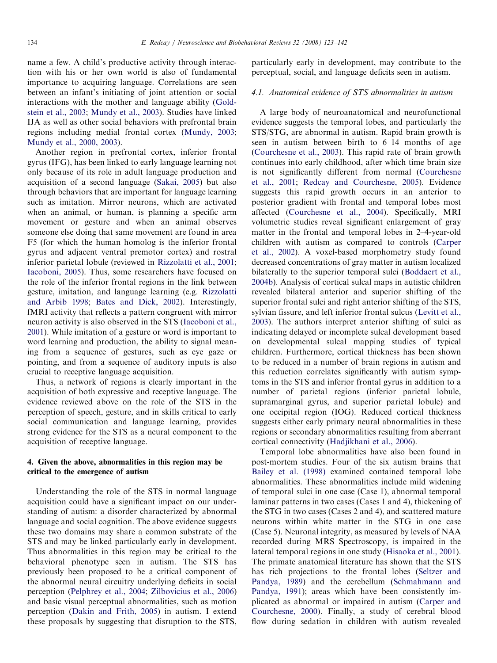name a few. A child's productive activity through interaction with his or her own world is also of fundamental importance to acquiring language. Correlations are seen between an infant's initiating of joint attention or social interactions with the mother and language ability ([Gold](#page-16-0)[stein et al., 2003](#page-16-0); [Mundy et al., 2003\)](#page-17-0). Studies have linked IJA as well as other social behaviors with prefrontal brain regions including medial frontal cortex ([Mundy, 2003](#page-17-0); [Mundy et al., 2000, 2003\)](#page-17-0).

Another region in prefrontal cortex, inferior frontal gyrus (IFG), has been linked to early language learning not only because of its role in adult language production and acquisition of a second language [\(Sakai, 2005](#page-18-0)) but also through behaviors that are important for language learning such as imitation. Mirror neurons, which are activated when an animal, or human, is planning a specific arm movement or gesture and when an animal observes someone else doing that same movement are found in area F5 (for which the human homolog is the inferior frontal gyrus and adjacent ventral premotor cortex) and rostral inferior parietal lobule (reviewed in [Rizzolatti et al., 2001](#page-18-0); [Iacoboni, 2005](#page-17-0)). Thus, some researchers have focused on the role of the inferior frontal regions in the link between gesture, imitation, and language learning (e.g. [Rizzolatti](#page-18-0) [and Arbib 1998](#page-18-0); [Bates and Dick, 2002\)](#page-15-0). Interestingly, fMRI activity that reflects a pattern congruent with mirror neuron activity is also observed in the STS ([Iacoboni et al.,](#page-17-0) [2001\)](#page-17-0). While imitation of a gesture or word is important to word learning and production, the ability to signal meaning from a sequence of gestures, such as eye gaze or pointing, and from a sequence of auditory inputs is also crucial to receptive language acquisition.

Thus, a network of regions is clearly important in the acquisition of both expressive and receptive language. The evidence reviewed above on the role of the STS in the perception of speech, gesture, and in skills critical to early social communication and language learning, provides strong evidence for the STS as a neural component to the acquisition of receptive language.

# 4. Given the above, abnormalities in this region may be critical to the emergence of autism

Understanding the role of the STS in normal language acquisition could have a significant impact on our understanding of autism: a disorder characterized by abnormal language and social cognition. The above evidence suggests these two domains may share a common substrate of the STS and may be linked particularly early in development. Thus abnormalities in this region may be critical to the behavioral phenotype seen in autism. The STS has previously been proposed to be a critical component of the abnormal neural circuitry underlying deficits in social perception ([Pelphrey et al., 2004](#page-18-0); [Zilbovicius et al., 2006](#page-19-0)) and basic visual perceptual abnormalities, such as motion perception [\(Dakin and Frith, 2005\)](#page-16-0) in autism. I extend these proposals by suggesting that disruption to the STS, particularly early in development, may contribute to the perceptual, social, and language deficits seen in autism.

## 4.1. Anatomical evidence of STS abnormalities in autism

A large body of neuroanatomical and neurofunctional evidence suggests the temporal lobes, and particularly the STS/STG, are abnormal in autism. Rapid brain growth is seen in autism between birth to 6–14 months of age [\(Courchesne et al., 2003](#page-16-0)). This rapid rate of brain growth continues into early childhood, after which time brain size is not significantly different from normal ([Courchesne](#page-16-0) [et al., 2001;](#page-16-0) [Redcay and Courchesne, 2005](#page-18-0)). Evidence suggests this rapid growth occurs in an anterior to posterior gradient with frontal and temporal lobes most affected [\(Courchesne et al., 2004\)](#page-16-0). Specifically, MRI volumetric studies reveal significant enlargement of gray matter in the frontal and temporal lobes in 2–4-year-old children with autism as compared to controls [\(Carper](#page-16-0) [et al., 2002\)](#page-16-0). A voxel-based morphometry study found decreased concentrations of gray matter in autism localized bilaterally to the superior temporal sulci ([Boddaert et al.,](#page-15-0) [2004b](#page-15-0)). Analysis of cortical sulcal maps in autistic children revealed bilateral anterior and superior shifting of the superior frontal sulci and right anterior shifting of the STS, sylvian fissure, and left inferior frontal sulcus ([Levitt et al.,](#page-17-0) [2003\)](#page-17-0). The authors interpret anterior shifting of sulci as indicating delayed or incomplete sulcal development based on developmental sulcal mapping studies of typical children. Furthermore, cortical thickness has been shown to be reduced in a number of brain regions in autism and this reduction correlates significantly with autism symptoms in the STS and inferior frontal gyrus in addition to a number of parietal regions (inferior parietal lobule, supramarginal gyrus, and superior parietal lobule) and one occipital region (IOG). Reduced cortical thickness suggests either early primary neural abnormalities in these regions or secondary abnormalities resulting from aberrant cortical connectivity [\(Hadjikhani et al., 2006](#page-16-0)).

Temporal lobe abnormalities have also been found in post-mortem studies. Four of the six autism brains that [Bailey et al. \(1998\)](#page-15-0) examined contained temporal lobe abnormalities. These abnormalities include mild widening of temporal sulci in one case (Case 1), abnormal temporal laminar patterns in two cases (Cases 1 and 4), thickening of the STG in two cases (Cases 2 and 4), and scattered mature neurons within white matter in the STG in one case (Case 5). Neuronal integrity, as measured by levels of NAA recorded during MRS Spectroscopy, is impaired in the lateral temporal regions in one study ([Hisaoka et al., 2001\)](#page-17-0). The primate anatomical literature has shown that the STS has rich projections to the frontal lobes ([Seltzer and](#page-18-0) [Pandya, 1989](#page-18-0)) and the cerebellum ([Schmahmann and](#page-18-0) [Pandya, 1991\)](#page-18-0); areas which have been consistently implicated as abnormal or impaired in autism ([Carper and](#page-16-0) [Courchesne, 2000\)](#page-16-0). Finally, a study of cerebral blood flow during sedation in children with autism revealed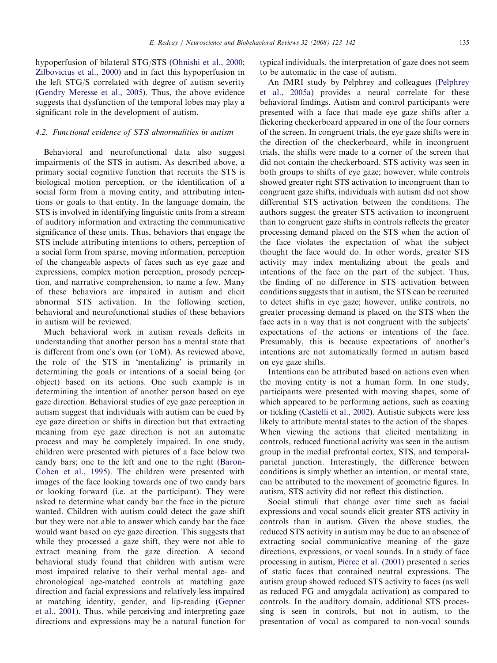hypoperfusion of bilateral STG/STS [\(Ohnishi et al., 2000;](#page-18-0) [Zilbovicius et al., 2000\)](#page-19-0) and in fact this hypoperfusion in the left STG/S correlated with degree of autism severity ([Gendry Meresse et al., 2005](#page-16-0)). Thus, the above evidence suggests that dysfunction of the temporal lobes may play a significant role in the development of autism.

## 4.2. Functional evidence of STS abnormalities in autism

Behavioral and neurofunctional data also suggest impairments of the STS in autism. As described above, a primary social cognitive function that recruits the STS is biological motion perception, or the identification of a social form from a moving entity, and attributing intentions or goals to that entity. In the language domain, the STS is involved in identifying linguistic units from a stream of auditory information and extracting the communicative significance of these units. Thus, behaviors that engage the STS include attributing intentions to others, perception of a social form from sparse, moving information, perception of the changeable aspects of faces such as eye gaze and expressions, complex motion perception, prosody perception, and narrative comprehension, to name a few. Many of these behaviors are impaired in autism and elicit abnormal STS activation. In the following section, behavioral and neurofunctional studies of these behaviors in autism will be reviewed.

Much behavioral work in autism reveals deficits in understanding that another person has a mental state that is different from one's own (or ToM). As reviewed above, the role of the STS in 'mentalizing' is primarily in determining the goals or intentions of a social being (or object) based on its actions. One such example is in determining the intention of another person based on eye gaze direction. Behavioral studies of eye gaze perception in autism suggest that individuals with autism can be cued by eye gaze direction or shifts in direction but that extracting meaning from eye gaze direction is not an automatic process and may be completely impaired. In one study, children were presented with pictures of a face below two candy bars; one to the left and one to the right ([Baron-](#page-15-0)[Cohen et al., 1995\)](#page-15-0). The children were presented with images of the face looking towards one of two candy bars or looking forward (i.e. at the participant). They were asked to determine what candy bar the face in the picture wanted. Children with autism could detect the gaze shift but they were not able to answer which candy bar the face would want based on eye gaze direction. This suggests that while they processed a gaze shift, they were not able to extract meaning from the gaze direction. A second behavioral study found that children with autism were most impaired relative to their verbal mental age- and chronological age-matched controls at matching gaze direction and facial expressions and relatively less impaired at matching identity, gender, and lip-reading ([Gepner](#page-16-0) [et al., 2001\)](#page-16-0). Thus, while perceiving and interpreting gaze directions and expressions may be a natural function for typical individuals, the interpretation of gaze does not seem to be automatic in the case of autism.

An fMRI study by Pelphrey and colleagues [\(Pelphrey](#page-18-0) [et al., 2005a\)](#page-18-0) provides a neural correlate for these behavioral findings. Autism and control participants were presented with a face that made eye gaze shifts after a flickering checkerboard appeared in one of the four corners of the screen. In congruent trials, the eye gaze shifts were in the direction of the checkerboard, while in incongruent trials, the shifts were made to a corner of the screen that did not contain the checkerboard. STS activity was seen in both groups to shifts of eye gaze; however, while controls showed greater right STS activation to incongruent than to congruent gaze shifts, individuals with autism did not show differential STS activation between the conditions. The authors suggest the greater STS activation to incongruent than to congruent gaze shifts in controls reflects the greater processing demand placed on the STS when the action of the face violates the expectation of what the subject thought the face would do. In other words, greater STS activity may index mentalizing about the goals and intentions of the face on the part of the subject. Thus, the finding of no difference in STS activation between conditions suggests that in autism, the STS can be recruited to detect shifts in eye gaze; however, unlike controls, no greater processing demand is placed on the STS when the face acts in a way that is not congruent with the subjects' expectations of the actions or intentions of the face. Presumably, this is because expectations of another's intentions are not automatically formed in autism based on eye gaze shifts.

Intentions can be attributed based on actions even when the moving entity is not a human form. In one study, participants were presented with moving shapes, some of which appeared to be performing actions, such as coaxing or tickling ([Castelli et al., 2002](#page-16-0)). Autistic subjects were less likely to attribute mental states to the action of the shapes. When viewing the actions that elicited mentalizing in controls, reduced functional activity was seen in the autism group in the medial prefrontal cortex, STS, and temporalparietal junction. Interestingly, the difference between conditions is simply whether an intention, or mental state, can be attributed to the movement of geometric figures. In autism, STS activity did not reflect this distinction.

Social stimuli that change over time such as facial expressions and vocal sounds elicit greater STS activity in controls than in autism. Given the above studies, the reduced STS activity in autism may be due to an absence of extracting social communicative meaning of the gaze directions, expressions, or vocal sounds. In a study of face processing in autism, [Pierce et al. \(2001\)](#page-18-0) presented a series of static faces that contained neutral expressions. The autism group showed reduced STS activity to faces (as well as reduced FG and amygdala activation) as compared to controls. In the auditory domain, additional STS processing is seen in controls, but not in autism, to the presentation of vocal as compared to non-vocal sounds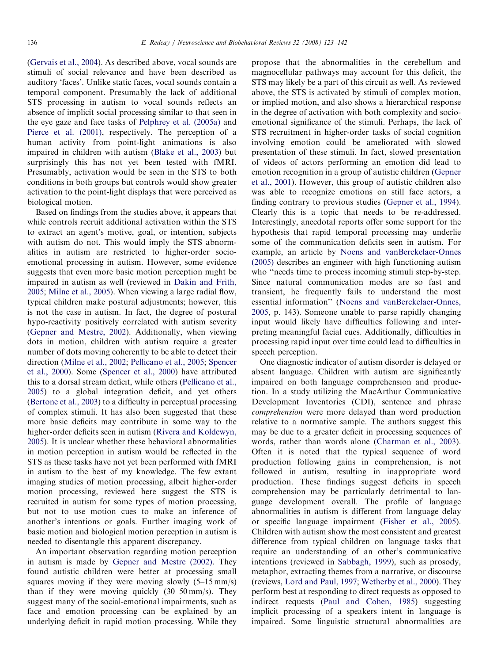[\(Gervais et al., 2004](#page-16-0)). As described above, vocal sounds are stimuli of social relevance and have been described as auditory 'faces'. Unlike static faces, vocal sounds contain a temporal component. Presumably the lack of additional STS processing in autism to vocal sounds reflects an absence of implicit social processing similar to that seen in the eye gaze and face tasks of [Pelphrey et al. \(2005a\)](#page-18-0) and [Pierce et al. \(2001\)](#page-18-0), respectively. The perception of a human activity from point-light animations is also impaired in children with autism ([Blake et al., 2003\)](#page-15-0) but surprisingly this has not yet been tested with fMRI. Presumably, activation would be seen in the STS to both conditions in both groups but controls would show greater activation to the point-light displays that were perceived as biological motion.

Based on findings from the studies above, it appears that while controls recruit additional activation within the STS to extract an agent's motive, goal, or intention, subjects with autism do not. This would imply the STS abnormalities in autism are restricted to higher-order socioemotional processing in autism. However, some evidence suggests that even more basic motion perception might be impaired in autism as well (reviewed in [Dakin and Frith,](#page-16-0) [2005;](#page-16-0) [Milne et al., 2005](#page-17-0)). When viewing a large radial flow, typical children make postural adjustments; however, this is not the case in autism. In fact, the degree of postural hypo-reactivity positively correlated with autism severity [\(Gepner and Mestre, 2002](#page-16-0)). Additionally, when viewing dots in motion, children with autism require a greater number of dots moving coherently to be able to detect their direction ([Milne et al., 2002](#page-17-0); [Pellicano et al., 2005;](#page-18-0) [Spencer](#page-18-0) [et al., 2000\)](#page-18-0). Some [\(Spencer et al., 2000\)](#page-18-0) have attributed this to a dorsal stream deficit, while others ([Pellicano et al.,](#page-18-0) [2005\)](#page-18-0) to a global integration deficit, and yet others [\(Bertone et al., 2003](#page-15-0)) to a difficulty in perceptual processing of complex stimuli. It has also been suggested that these more basic deficits may contribute in some way to the higher-order deficits seen in autism [\(Rivera and Koldewyn,](#page-18-0) [2005\)](#page-18-0). It is unclear whether these behavioral abnormalities in motion perception in autism would be reflected in the STS as these tasks have not yet been performed with fMRI in autism to the best of my knowledge. The few extant imaging studies of motion processing, albeit higher-order motion processing, reviewed here suggest the STS is recruited in autism for some types of motion processing, but not to use motion cues to make an inference of another's intentions or goals. Further imaging work of basic motion and biological motion perception in autism is needed to disentangle this apparent discrepancy.

An important observation regarding motion perception in autism is made by [Gepner and Mestre \(2002\)](#page-16-0). They found autistic children were better at processing small squares moving if they were moving slowly (5–15 mm/s) than if they were moving quickly (30–50 mm/s). They suggest many of the social-emotional impairments, such as face and emotion processing can be explained by an underlying deficit in rapid motion processing. While they propose that the abnormalities in the cerebellum and magnocellular pathways may account for this deficit, the STS may likely be a part of this circuit as well. As reviewed above, the STS is activated by stimuli of complex motion, or implied motion, and also shows a hierarchical response in the degree of activation with both complexity and socioemotional significance of the stimuli. Perhaps, the lack of STS recruitment in higher-order tasks of social cognition involving emotion could be ameliorated with slowed presentation of these stimuli. In fact, slowed presentation of videos of actors performing an emotion did lead to emotion recognition in a group of autistic children ([Gepner](#page-16-0) [et al., 2001](#page-16-0)). However, this group of autistic children also was able to recognize emotions on still face actors, a finding contrary to previous studies [\(Gepner et al., 1994\)](#page-16-0). Clearly this is a topic that needs to be re-addressed. Interestingly, anecdotal reports offer some support for the hypothesis that rapid temporal processing may underlie some of the communication deficits seen in autism. For example, an article by [Noens and vanBerckelaer-Onnes](#page-17-0) [\(2005\)](#page-17-0) describes an engineer with high functioning autism who ''needs time to process incoming stimuli step-by-step. Since natural communication modes are so fast and transient, he frequently fails to understand the most essential information'' ([Noens and vanBerckelaer-Onnes,](#page-17-0) [2005,](#page-17-0) p. 143). Someone unable to parse rapidly changing input would likely have difficulties following and interpreting meaningful facial cues. Additionally, difficulties in processing rapid input over time could lead to difficulties in speech perception.

One diagnostic indicator of autism disorder is delayed or absent language. Children with autism are significantly impaired on both language comprehension and production. In a study utilizing the MacArthur Communicative Development Inventories (CDI), sentence and phrase comprehension were more delayed than word production relative to a normative sample. The authors suggest this may be due to a greater deficit in processing sequences of words, rather than words alone ([Charman et al., 2003\)](#page-16-0). Often it is noted that the typical sequence of word production following gains in comprehension, is not followed in autism, resulting in inappropriate word production. These findings suggest deficits in speech comprehension may be particularly detrimental to language development overall. The profile of language abnormalities in autism is different from language delay or specific language impairment [\(Fisher et al., 2005\)](#page-16-0). Children with autism show the most consistent and greatest difference from typical children on language tasks that require an understanding of an other's communicative intentions (reviewed in [Sabbagh, 1999\)](#page-18-0), such as prosody, metaphor, extracting themes from a narrative, or discourse (reviews, [Lord and Paul, 1997](#page-17-0); [Wetherby et al., 2000\)](#page-19-0). They perform best at responding to direct requests as opposed to indirect requests ([Paul and Cohen, 1985](#page-18-0)) suggesting implicit processing of a speakers intent in language is impaired. Some linguistic structural abnormalities are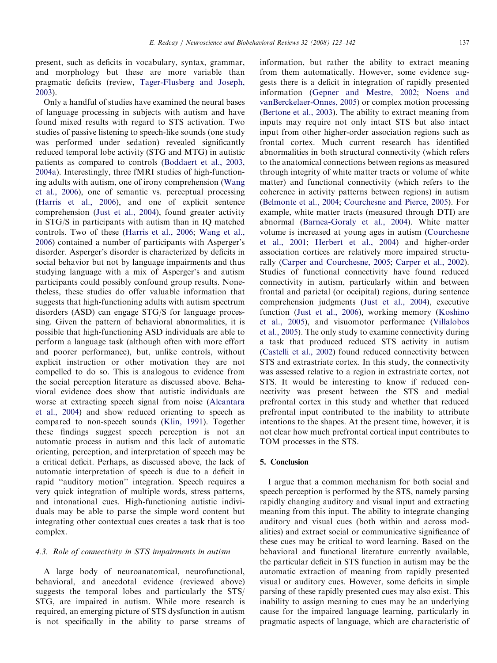present, such as deficits in vocabulary, syntax, grammar, and morphology but these are more variable than pragmatic deficits (review, [Tager-Flusberg and Joseph,](#page-18-0) [2003](#page-18-0)).

Only a handful of studies have examined the neural bases of language processing in subjects with autism and have found mixed results with regard to STS activation. Two studies of passive listening to speech-like sounds (one study was performed under sedation) revealed significantly reduced temporal lobe activity (STG and MTG) in autistic patients as compared to controls ([Boddaert et al., 2003,](#page-15-0) [2004a](#page-15-0)). Interestingly, three fMRI studies of high-functioning adults with autism, one of irony comprehension [\(Wang](#page-18-0) [et al., 2006\)](#page-18-0), one of semantic vs. perceptual processing ([Harris et al., 2006](#page-16-0)), and one of explicit sentence comprehension [\(Just et al., 2004](#page-17-0)), found greater activity in STG/S in participants with autism than in IQ matched controls. Two of these [\(Harris et al., 2006;](#page-16-0) [Wang et al.,](#page-18-0) [2006](#page-18-0)) contained a number of participants with Asperger's disorder. Asperger's disorder is characterized by deficits in social behavior but not by language impairments and thus studying language with a mix of Asperger's and autism participants could possibly confound group results. Nonetheless, these studies do offer valuable information that suggests that high-functioning adults with autism spectrum disorders (ASD) can engage STG/S for language processing. Given the pattern of behavioral abnormalities, it is possible that high-functioning ASD individuals are able to perform a language task (although often with more effort and poorer performance), but, unlike controls, without explicit instruction or other motivation they are not compelled to do so. This is analogous to evidence from the social perception literature as discussed above. Behavioral evidence does show that autistic individuals are worse at extracting speech signal from noise [\(Alcantara](#page-15-0) [et al., 2004\)](#page-15-0) and show reduced orienting to speech as compared to non-speech sounds [\(Klin, 1991\)](#page-17-0). Together these findings suggest speech perception is not an automatic process in autism and this lack of automatic orienting, perception, and interpretation of speech may be a critical deficit. Perhaps, as discussed above, the lack of automatic interpretation of speech is due to a deficit in rapid ''auditory motion'' integration. Speech requires a very quick integration of multiple words, stress patterns, and intonational cues. High-functioning autistic individuals may be able to parse the simple word content but integrating other contextual cues creates a task that is too complex.

# 4.3. Role of connectivity in STS impairments in autism

A large body of neuroanatomical, neurofunctional, behavioral, and anecdotal evidence (reviewed above) suggests the temporal lobes and particularly the STS/ STG, are impaired in autism. While more research is required, an emerging picture of STS dysfunction in autism is not specifically in the ability to parse streams of information, but rather the ability to extract meaning from them automatically. However, some evidence suggests there is a deficit in integration of rapidly presented information [\(Gepner and Mestre, 2002;](#page-16-0) [Noens and](#page-17-0) [vanBerckelaer-Onnes, 2005\)](#page-17-0) or complex motion processing ([Bertone et al., 2003\)](#page-15-0). The ability to extract meaning from inputs may require not only intact STS but also intact input from other higher-order association regions such as frontal cortex. Much current research has identified abnormalities in both structural connectivity (which refers to the anatomical connections between regions as measured through integrity of white matter tracts or volume of white matter) and functional connectivity (which refers to the coherence in activity patterns between regions) in autism ([Belmonte et al., 2004](#page-15-0); [Courchesne and Pierce, 2005](#page-16-0)). For example, white matter tracts (measured through DTI) are abnormal [\(Barnea-Goraly et al., 2004\)](#page-15-0). White matter volume is increased at young ages in autism ([Courchesne](#page-16-0) [et al., 2001](#page-16-0); [Herbert et al., 2004\)](#page-16-0) and higher-order association cortices are relatively more impaired structurally ([Carper and Courchesne, 2005;](#page-16-0) [Carper et al., 2002\)](#page-16-0). Studies of functional connectivity have found reduced connectivity in autism, particularly within and between frontal and parietal (or occipital) regions, during sentence comprehension judgments ([Just et al., 2004\)](#page-17-0), executive function ([Just et al., 2006\)](#page-17-0), working memory ([Koshino](#page-17-0) [et al., 2005](#page-17-0)), and visuomotor performance [\(Villalobos](#page-18-0) [et al., 2005](#page-18-0)). The only study to examine connectivity during a task that produced reduced STS activity in autism ([Castelli et al., 2002\)](#page-16-0) found reduced connectivity between STS and extrastriate cortex. In this study, the connectivity was assessed relative to a region in extrastriate cortex, not STS. It would be interesting to know if reduced connectivity was present between the STS and medial prefrontal cortex in this study and whether that reduced prefrontal input contributed to the inability to attribute intentions to the shapes. At the present time, however, it is not clear how much prefrontal cortical input contributes to TOM processes in the STS.

## 5. Conclusion

I argue that a common mechanism for both social and speech perception is performed by the STS, namely parsing rapidly changing auditory and visual input and extracting meaning from this input. The ability to integrate changing auditory and visual cues (both within and across modalities) and extract social or communicative significance of these cues may be critical to word learning. Based on the behavioral and functional literature currently available, the particular deficit in STS function in autism may be the automatic extraction of meaning from rapidly presented visual or auditory cues. However, some deficits in simple parsing of these rapidly presented cues may also exist. This inability to assign meaning to cues may be an underlying cause for the impaired language learning, particularly in pragmatic aspects of language, which are characteristic of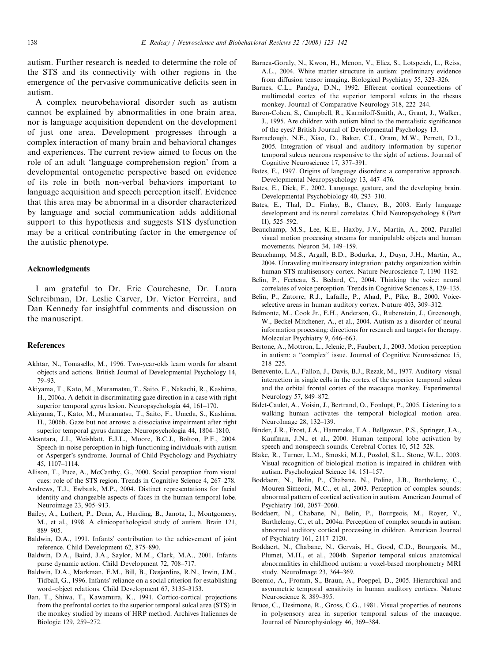<span id="page-15-0"></span>autism. Further research is needed to determine the role of the STS and its connectivity with other regions in the emergence of the pervasive communicative deficits seen in autism.

A complex neurobehavioral disorder such as autism cannot be explained by abnormalities in one brain area, nor is language acquisition dependent on the development of just one area. Development progresses through a complex interaction of many brain and behavioral changes and experiences. The current review aimed to focus on the role of an adult 'language comprehension region' from a developmental ontogenetic perspective based on evidence of its role in both non-verbal behaviors important to language acquisition and speech perception itself. Evidence that this area may be abnormal in a disorder characterized by language and social communication adds additional support to this hypothesis and suggests STS dysfunction may be a critical contributing factor in the emergence of the autistic phenotype.

#### Acknowledgments

I am grateful to Dr. Eric Courchesne, Dr. Laura Schreibman, Dr. Leslie Carver, Dr. Victor Ferreira, and Dan Kennedy for insightful comments and discussion on the manuscript.

## References

- Akhtar, N., Tomasello, M., 1996. Two-year-olds learn words for absent objects and actions. British Journal of Developmental Psychology 14, 79–93.
- Akiyama, T., Kato, M., Muramatsu, T., Saito, F., Nakachi, R., Kashima, H., 2006a. A deficit in discriminating gaze direction in a case with right superior temporal gyrus lesion. Neuropsychologia 44, 161–170.
- Akiyama, T., Kato, M., Muramatsu, T., Saito, F., Umeda, S., Kashima, H., 2006b. Gaze but not arrows: a dissociative impairment after right superior temporal gyrus damage. Neuropsychologia 44, 1804–1810.
- Alcantara, J.I., Weisblatt, E.J.L., Moore, B.C.J., Bolton, P.F., 2004. Speech-in-noise perception in high-functioning individuals with autism or Asperger's syndrome. Journal of Child Psychology and Psychiatry 45, 1107–1114.
- Allison, T., Puce, A., McCarthy, G., 2000. Social perception from visual cues: role of the STS region. Trends in Cognitive Science 4, 267–278.
- Andrews, T.J., Ewbank, M.P., 2004. Distinct representations for facial identity and changeable aspects of faces in the human temporal lobe. Neuroimage 23, 905–913.
- Bailey, A., Luthert, P., Dean, A., Harding, B., Janota, I., Montgomery, M., et al., 1998. A clinicopathological study of autism. Brain 121, 889–905.
- Baldwin, D.A., 1991. Infants' contribution to the achievement of joint reference. Child Development 62, 875–890.
- Baldwin, D.A., Baird, J.A., Saylor, M.M., Clark, M.A., 2001. Infants parse dynamic action. Child Development 72, 708–717.
- Baldwin, D.A., Markman, E.M., Bill, B., Desjardins, R.N., Irwin, J.M., Tidball, G., 1996. Infants' reliance on a social criterion for establishing word–object relations. Child Development 67, 3135–3153.
- Ban, T., Shiwa, T., Kawamura, K., 1991. Cortico-cortical projections from the prefrontal cortex to the superior temporal sulcal area (STS) in the monkey studied by means of HRP method. Archives Italiennes de Biologie 129, 259–272.
- Barnea-Goraly, N., Kwon, H., Menon, V., Eliez, S., Lotspeich, L., Reiss, A.L., 2004. White matter structure in autism: preliminary evidence from diffusion tensor imaging. Biological Psychiatry 55, 323–326.
- Barnes, C.L., Pandya, D.N., 1992. Efferent cortical connections of multimodal cortex of the superior temporal sulcus in the rhesus monkey. Journal of Comparative Neurology 318, 222–244.
- Baron-Cohen, S., Campbell, R., Karmiloff-Smith, A., Grant, J., Walker, J., 1995. Are children with autism blind to the mentalistic significance of the eyes? British Journal of Developmental Psychology 13.
- Barraclough, N.E., Xiao, D., Baker, C.I., Oram, M.W., Perrett, D.I., 2005. Integration of visual and auditory information by superior temporal sulcus neurons responsive to the sight of actions. Journal of Cognitive Neuroscience 17, 377–391.
- Bates, E., 1997. Origins of language disorders: a comparative approach. Developmental Neuropsychology 13, 447–476.
- Bates, E., Dick, F., 2002. Language, gesture, and the developing brain. Developmental Psychobiology 40, 293–310.
- Bates, E., Thal, D., Finlay, B., Clancy, B., 2003. Early language development and its neural correlates. Child Neuropsychology 8 (Part II), 525–592.
- Beauchamp, M.S., Lee, K.E., Haxby, J.V., Martin, A., 2002. Parallel visual motion processing streams for manipulable objects and human movements. Neuron 34, 149–159.
- Beauchamp, M.S., Argall, B.D., Bodurka, J., Duyn, J.H., Martin, A., 2004. Unraveling multisensory integration: patchy organization within human STS multisensory cortex. Nature Neuroscience 7, 1190–1192.
- Belin, P., Fecteau, S., Bedard, C., 2004. Thinking the voice: neural correlates of voice perception. Trends in Cognitive Sciences 8, 129–135.
- Belin, P., Zatorre, R.J., Lafaille, P., Ahad, P., Pike, B., 2000. Voiceselective areas in human auditory cortex. Nature 403, 309–312.
- Belmonte, M., Cook Jr., E.H., Anderson, G., Rubenstein, J., Greenough, W., Beckel-Mitchener, A., et al., 2004. Autism as a disorder of neural information processing: directions for research and targets for therapy. Molecular Psychiatry 9, 646–663.
- Bertone, A., Mottron, L., Jelenic, P., Faubert, J., 2003. Motion perception in autism: a ''complex'' issue. Journal of Cognitive Neuroscience 15, 218–225.
- Benevento, L.A., Fallon, J., Davis, B.J., Rezak, M., 1977. Auditory–visual interaction in single cells in the cortex of the superior temporal sulcus and the orbital frontal cortex of the macaque monkey. Experimental Neurology 57, 849–872.
- Bidet-Caulet, A., Voisin, J., Bertrand, O., Fonlupt, P., 2005. Listening to a walking human activates the temporal biological motion area. NeuroImage 28, 132–139.
- Binder, J.R., Frost, J.A., Hammeke, T.A., Bellgowan, P.S., Springer, J.A., Kaufman, J.N., et al., 2000. Human temporal lobe activation by speech and nonspeech sounds. Cerebral Cortex 10, 512–528.
- Blake, R., Turner, L.M., Smoski, M.J., Pozdol, S.L., Stone, W.L., 2003. Visual recognition of biological motion is impaired in children with autism. Psychological Science 14, 151–157.
- Boddaert, N., Belin, P., Chabane, N., Poline, J.B., Barthelemy, C., Mouren-Simeoni, M.C., et al., 2003. Perception of complex sounds: abnormal pattern of cortical activation in autism. American Journal of Psychiatry 160, 2057–2060.
- Boddaert, N., Chabane, N., Belin, P., Bourgeois, M., Royer, V., Barthelemy, C., et al., 2004a. Perception of complex sounds in autism: abnormal auditory cortical processing in children. American Journal of Psychiatry 161, 2117–2120.
- Boddaert, N., Chabane, N., Gervais, H., Good, C.D., Bourgeois, M., Plumet, M.H., et al., 2004b. Superior temporal sulcus anatomical abnormalities in childhood autism: a voxel-based morphometry MRI study. NeuroImage 23, 364–369.
- Boemio, A., Fromm, S., Braun, A., Poeppel, D., 2005. Hierarchical and asymmetric temporal sensitivity in human auditory cortices. Nature Neuroscience 8, 389–395.
- Bruce, C., Desimone, R., Gross, C.G., 1981. Visual properties of neurons in polysensory area in superior temporal sulcus of the macaque. Journal of Neurophysiology 46, 369–384.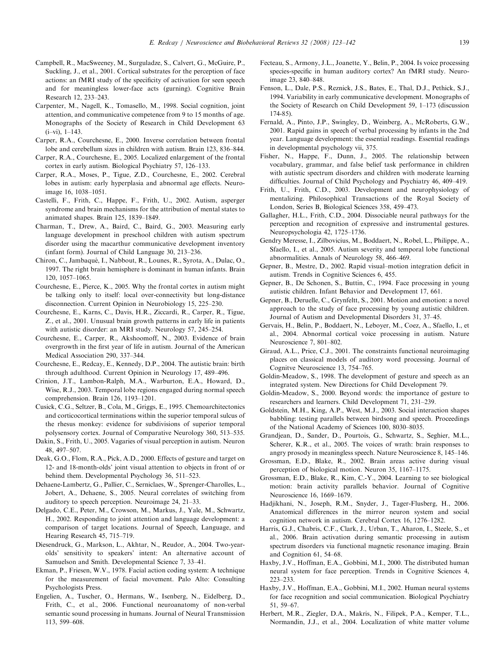- <span id="page-16-0"></span>Campbell, R., MacSweeney, M., Surguladze, S., Calvert, G., McGuire, P., Suckling, J., et al., 2001. Cortical substrates for the perception of face actions: an fMRI study of the specificity of activation for seen speech and for meaningless lower-face acts (gurning). Cognitive Brain Research 12, 233–243.
- Carpenter, M., Nagell, K., Tomasello, M., 1998. Social cognition, joint attention, and communicative competence from 9 to 15 months of age. Monographs of the Society of Research in Child Development 63 (i–vi), 1–143.
- Carper, R.A., Courchesne, E., 2000. Inverse correlation between frontal lobe and cerebellum sizes in children with autism. Brain 123, 836–844.
- Carper, R.A., Courchesne, E., 2005. Localized enlargement of the frontal cortex in early autism. Biological Psychiatry 57, 126–133.
- Carper, R.A., Moses, P., Tigue, Z.D., Courchesne, E., 2002. Cerebral lobes in autism: early hyperplasia and abnormal age effects. Neuroimage 16, 1038–1051.
- Castelli, F., Frith, C., Happe, F., Frith, U., 2002. Autism, asperger syndrome and brain mechanisms for the attribution of mental states to animated shapes. Brain 125, 1839–1849.
- Charman, T., Drew, A., Baird, C., Baird, G., 2003. Measuring early language development in preschool children with autism spectrum disorder using the macarthur communicative development inventory (infant form). Journal of Child Language 30, 213–236.
- Chiron, C., Jambaqué, I., Nabbout, R., Lounes, R., Syrota, A., Dulac, O., 1997. The right brain hemisphere is dominant in human infants. Brain 120, 1057–1065.
- Courchesne, E., Pierce, K., 2005. Why the frontal cortex in autism might be talking only to itself: local over-connectivity but long-distance disconnection. Current Opinion in Neurobiology 15, 225–230.
- Courchesne, E., Karns, C., Davis, H.R., Ziccardi, R., Carper, R., Tigue, Z., et al., 2001. Unusual brain growth patterns in early life in patients with autistic disorder: an MRI study. Neurology 57, 245–254.
- Courchesne, E., Carper, R., Akshoomoff, N., 2003. Evidence of brain overgrowth in the first year of life in autism. Journal of the American Medical Association 290, 337–344.
- Courchesne, E., Redcay, E., Kennedy, D.P., 2004. The autistic brain: birth through adulthood. Current Opinion in Neurology 17, 489–496.
- Crinion, J.T., Lambon-Ralph, M.A., Warburton, E.A., Howard, D., Wise, R.J., 2003. Temporal lobe regions engaged during normal speech comprehension. Brain 126, 1193–1201.
- Cusick, C.G., Seltzer, B., Cola, M., Griggs, E., 1995. Chemoarchitectonics and corticocortical terminations within the superior temporal sulcus of the rhesus monkey: evidence for subdivisions of superior temporal polysensory cortex. Journal of Comparative Neurology 360, 513–535.
- Dakin, S., Frith, U., 2005. Vagaries of visual perception in autism. Neuron 48, 497–507.
- Deak, G.O., Flom, R.A., Pick, A.D., 2000. Effects of gesture and target on 12- and 18-month-olds' joint visual attention to objects in front of or behind them. Developmental Psychology 36, 511–523.
- Dehaene-Lambertz, G., Pallier, C., Serniclaes, W., Sprenger-Charolles, L., Jobert, A., Dehaene, S., 2005. Neural correlates of switching from auditory to speech perception. Neuroimage 24, 21–33.
- Delgado, C.E., Peter, M., Crowson, M., Markus, J., Yale, M., Schwartz, H., 2002. Responding to joint attention and language development: a comparison of target locations. Journal of Speech, Language, and Hearing Research 45, 715–719.
- Diesendruck, G., Markson, L., Akhtar, N., Reudor, A., 2004. Two-yearolds' sensitivity to speakers' intent: An alternative account of Samuelson and Smith. Developmental Science 7, 33–41.
- Ekman, P., Friesen, W.V., 1978. Facial action coding system: A technique for the measurement of facial movement. Palo Alto: Consulting Psychologists Press.
- Engelien, A., Tuscher, O., Hermans, W., Isenberg, N., Eidelberg, D., Frith, C., et al., 2006. Functional neuroanatomy of non-verbal semantic sound processing in humans. Journal of Neural Transmission 113, 599–608.
- Fecteau, S., Armony, J.L., Joanette, Y., Belin, P., 2004. Is voice processing species-specific in human auditory cortex? An fMRI study. Neuroimage 23, 840–848.
- Fenson, L., Dale, P.S., Reznick, J.S., Bates, E., Thal, D.J., Pethick, S.J., 1994. Variability in early communicative development. Monographs of the Society of Research on Child Development 59, 1–173 (discussion 174-85).
- Fernald, A., Pinto, J.P., Swingley, D., Weinberg, A., McRoberts, G.W., 2001. Rapid gains in speech of verbal processing by infants in the 2nd year. Language development: the essential readings. Essential readings in developmental psychology vii, 375.
- Fisher, N., Happe, F., Dunn, J., 2005. The relationship between vocabulary, grammar, and false belief task performance in children with autistic spectrum disorders and children with moderate learning difficulties. Journal of Child Psychology and Psychiatry 46, 409–419.
- Frith, U., Frith, C.D., 2003. Development and neurophysiology of mentalizing. Philosophical Transactions of the Royal Society of London, Series B, Biological Sciences 358, 459–473.
- Gallagher, H.L., Frith, C.D., 2004. Dissociable neural pathways for the perception and recognition of expressive and instrumental gestures. Neuropsychologia 42, 1725–1736.
- Gendry Meresse, I., Zilbovicius, M., Boddaert, N., Robel, L., Philippe, A., Sfaello, I., et al., 2005. Autism severity and temporal lobe functional abnormalities. Annals of Neurology 58, 466–469.
- Gepner, B., Mestre, D., 2002. Rapid visual–motion integration deficit in autism. Trends in Cognitive Sciences 6, 455.
- Gepner, B., De Schonen, S., Buttin, C., 1994. Face processing in young autistic children. Infant Behavior and Development 17, 661.
- Gepner, B., Deruelle, C., Grynfeltt, S., 2001. Motion and emotion: a novel approach to the study of face processing by young autistic children. Journal of Autism and Developmental Disorders 31, 37–45.
- Gervais, H., Belin, P., Boddaert, N., Leboyer, M., Coez, A., Sfaello, I., et al., 2004. Abnormal cortical voice processing in autism. Nature Neuroscience 7, 801–802.
- Giraud, A.L., Price, C.J., 2001. The constraints functional neuroimaging places on classical models of auditory word processing. Journal of Cognitve Neuroscience 13, 754–765.
- Goldin-Meadow, S., 1998. The development of gesture and speech as an integrated system. New Directions for Child Development 79.
- Goldin-Meadow, S., 2000. Beyond words: the importance of gesture to researchers and learners. Child Development 71, 231–239.
- Goldstein, M.H., King, A.P., West, M.J., 2003. Social interaction shapes babbling: testing parallels between birdsong and speech. Proceedings of the National Academy of Sciences 100, 8030–8035.
- Grandjean, D., Sander, D., Pourtois, G., Schwartz, S., Seghier, M.L., Scherer, K.R., et al., 2005. The voices of wrath: brain responses to angry prosody in meaningless speech. Nature Neuroscience 8, 145–146.
- Grossman, E.D., Blake, R., 2002. Brain areas active during visual perception of biological motion. Neuron 35, 1167–1175.
- Grossman, E.D., Blake, R., Kim, C.-Y., 2004. Learning to see biological motion: brain activity parallels behavior. Journal of Cognitive Neuroscience 16, 1669–1679.
- Hadjikhani, N., Joseph, R.M., Snyder, J., Tager-Flusberg, H., 2006. Anatomical differences in the mirror neuron system and social cognition network in autism. Cerebral Cortex 16, 1276–1282.
- Harris, G.J., Chabris, C.F., Clark, J., Urban, T., Aharon, I., Steele, S., et al., 2006. Brain activation during semantic processing in autism spectrum disorders via functional magnetic resonance imaging. Brain and Cognition 61, 54–68.
- Haxby, J.V., Hoffman, E.A., Gobbini, M.I., 2000. The distributed human neural system for face perception. Trends in Cognitive Sciences 4, 223–233.
- Haxby, J.V., Hoffman, E.A., Gobbini, M.I., 2002. Human neural systems for face recognition and social communication. Biological Psychiatry 51, 59–67.
- Herbert, M.R., Ziegler, D.A., Makris, N., Filipek, P.A., Kemper, T.L., Normandin, J.J., et al., 2004. Localization of white matter volume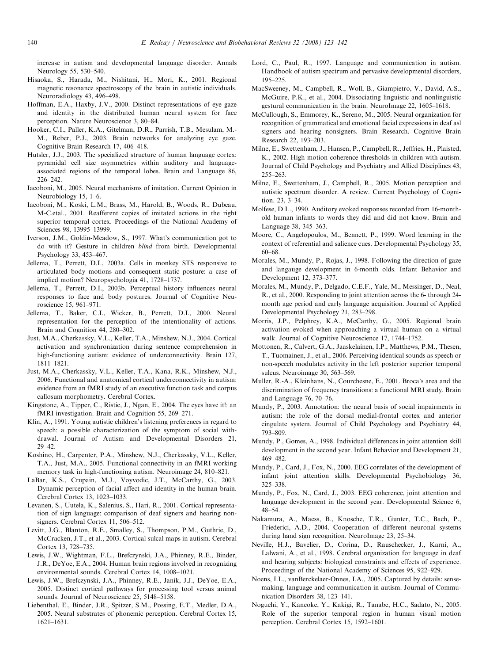<span id="page-17-0"></span>increase in autism and developmental language disorder. Annals Neurology 55, 530–540.

- Hisaoka, S., Harada, M., Nishitani, H., Mori, K., 2001. Regional magnetic resonance spectroscopy of the brain in autistic individuals. Neuroradiology 43, 496–498.
- Hoffman, E.A., Haxby, J.V., 2000. Distinct representations of eye gaze and identity in the distributed human neural system for face perception. Nature Neuroscience 3, 80–84.
- Hooker, C.I., Paller, K.A., Gitelman, D.R., Parrish, T.B., Mesulam, M.- M., Reber, P.J., 2003. Brain networks for analyzing eye gaze. Cognitive Brain Research 17, 406–418.
- Hutsler, J.J., 2003. The specialized structure of human language cortex: pyramidal cell size asymmetries within auditory and languageassociated regions of the temporal lobes. Brain and Language 86, 226–242.
- Iacoboni, M., 2005. Neural mechanisms of imitation. Current Opinion in Neurobiology 15, 1–6.
- Iacoboni, M., Koski, L.M., Brass, M., Harold, B., Woods, R., Dubeau, M-C.etal., 2001. Reafferent copies of imitated actions in the right superior temporal cortex. Proceedings of the National Academy of Sciences 98, 13995–13999.
- Iverson, J.M., Goldin-Meadow, S., 1997. What's communication got to do with it? Gesture in children blind from birth. Developmental Psychology 33, 453–467.
- Jellema, T., Perrett, D.I., 2003a. Cells in monkey STS responsive to articulated body motions and consequent static posture: a case of implied motion? Neuropsychologia 41, 1728–1737.
- Jellema, T., Perrett, D.I., 2003b. Perceptual history influences neural responses to face and body postures. Journal of Cognitive Neuroscience 15, 961–971.
- Jellema, T., Baker, C.I., Wicker, B., Perrett, D.I., 2000. Neural representation for the perception of the intentionality of actions. Brain and Cognition 44, 280–302.
- Just, M.A., Cherkassky, V.L., Keller, T.A., Minshew, N.J., 2004. Cortical activation and synchronization during sentence comprehension in high-functioning autism: evidence of underconnectivity. Brain 127, 1811–1821.
- Just, M.A., Cherkassky, V.L., Keller, T.A., Kana, R.K., Minshew, N.J., 2006. Functional and anatomical cortical underconnectivity in autism: evidence from an fMRI study of an executive function task and corpus callosum morphometry. Cerebral Cortex.
- Kingstone, A., Tipper, C., Ristic, J., Ngan, E., 2004. The eyes have it!: an fMRI investigation. Brain and Cognition 55, 269–271.
- Klin, A., 1991. Young autistic children's listening preferences in regard to speech: a possible characterization of the symptom of social withdrawal. Journal of Autism and Developmental Disorders 21, 29–42.
- Koshino, H., Carpenter, P.A., Minshew, N.J., Cherkassky, V.L., Keller, T.A., Just, M.A., 2005. Functional connectivity in an fMRI working memory task in high-functioning autism. Neuroimage 24, 810–821.
- LaBar, K.S., Crupain, M.J., Voyvodic, J.T., McCarthy, G., 2003. Dynamic perception of facial affect and identity in the human brain. Cerebral Cortex 13, 1023–1033.
- Levanen, S., Uutela, K., Salenius, S., Hari, R., 2001. Cortical representation of sign language: comparison of deaf signers and hearing nonsigners. Cerebral Cortex 11, 506–512.
- Levitt, J.G., Blanton, R.E., Smalley, S., Thompson, P.M., Guthrie, D., McCracken, J.T., et al., 2003. Cortical sulcal maps in autism. Cerebral Cortex 13, 728–735.
- Lewis, J.W., Wightman, F.L., Brefczynski, J.A., Phinney, R.E., Binder, J.R., DeYoe, E.A., 2004. Human brain regions involved in recognizing environmental sounds. Cerebral Cortex 14, 1008–1021.
- Lewis, J.W., Brefczynski, J.A., Phinney, R.E., Janik, J.J., DeYoe, E.A., 2005. Distinct cortical pathways for processing tool versus animal sounds. Journal of Neuroscience 25, 5148–5158.
- Liebenthal, E., Binder, J.R., Spitzer, S.M., Possing, E.T., Medler, D.A., 2005. Neural substrates of phonemic perception. Cerebral Cortex 15, 1621–1631.
- Lord, C., Paul, R., 1997. Language and communication in autism. Handbook of autism spectrum and pervasive developmental disorders, 195–225.
- MacSweeney, M., Campbell, R., Woll, B., Giampietro, V., David, A.S., McGuire, P.K., et al., 2004. Dissociating linguistic and nonlinguistic gestural communication in the brain. NeuroImage 22, 1605–1618.
- McCullough, S., Emmorey, K., Sereno, M., 2005. Neural organization for recognition of grammatical and emotional facial expressions in deaf asl signers and hearing nonsigners. Brain Research. Cognitive Brain Research 22, 193–203.
- Milne, E., Swettenham, J., Hansen, P., Campbell, R., Jeffries, H., Plaisted, K., 2002. High motion coherence thresholds in children with autism. Journal of Child Psychology and Psychiatry and Allied Disciplines 43, 255–263.
- Milne, E., Swettenham, J., Campbell, R., 2005. Motion perception and autistic spectrum disorder. A review. Current Psychology of Cognition. 23, 3–34.
- Molfese, D.L., 1990. Auditory evoked responses recorded from 16-monthold human infants to words they did and did not know. Brain and Language 38, 345–363.
- Moore, C., Angelopoulos, M., Bennett, P., 1999. Word learning in the context of referential and salience cues. Developmental Psychology 35, 60–68.
- Morales, M., Mundy, P., Rojas, J., 1998. Following the direction of gaze and langauge development in 6-month olds. Infant Behavior and Development 12, 373–377.
- Morales, M., Mundy, P., Delgado, C.E.F., Yale, M., Messinger, D., Neal, R., et al., 2000. Responding to joint attention across the 6- through 24 month age period and early language acquisition. Journal of Applied Developmental Psychology 21, 283–298.
- Morris, J.P., Pelphrey, K.A., McCarthy, G., 2005. Regional brain activation evoked when approaching a virtual human on a virtual walk. Journal of Cognitive Neuroscience 17, 1744–1752.
- Mottonen, R., Calvert, G.A., Jaaskelainen, I.P., Matthews, P.M., Thesen, T., Tuomainen, J., et al., 2006. Perceiving identical sounds as speech or non-speech modulates activity in the left posterior superior temporal sulcus. Neuroimage 30, 563–569.
- Muller, R.-A., Kleinhans, N., Courchesne, E., 2001. Broca's area and the discrimination of frequency transitions: a functional MRI study. Brain and Language 76, 70–76.
- Mundy, P., 2003. Annotation: the neural basis of social impairments in autism: the role of the dorsal medial-frontal cortex and anterior cingulate system. Journal of Child Psychology and Psychiatry 44, 793–809.
- Mundy, P., Gomes, A., 1998. Individual differences in joint attention skill development in the second year. Infant Behavior and Development 21, 469–482.
- Mundy, P., Card, J., Fox, N., 2000. EEG correlates of the development of infant joint attention skills. Developmental Psychobiology 36, 325–338.
- Mundy, P., Fox, N., Card, J., 2003. EEG coherence, joint attention and language development in the second year. Developmental Science 6, 48–54.
- Nakamura, A., Maess, B., Knosche, T.R., Gunter, T.C., Bach, P., Friederici, A.D., 2004. Cooperation of different neuronal systems during hand sign recognition. NeuroImage 23, 25–34.
- Neville, H.J., Bavelier, D., Corina, D., Rauschecker, J., Karni, A., Lalwani, A., et al., 1998. Cerebral organization for language in deaf and hearing subjects: biological constraints and effects of experience. Proceedings of the National Academy of Sciences 95, 922–929.
- Noens, I.L., vanBerckelaer-Onnes, I.A., 2005. Captured by details: sensemaking, language and communication in autism. Journal of Communication Disorders 38, 123–141.
- Noguchi, Y., Kaneoke, Y., Kakigi, R., Tanabe, H.C., Sadato, N., 2005. Role of the superior temporal region in human visual motion perception. Cerebral Cortex 15, 1592–1601.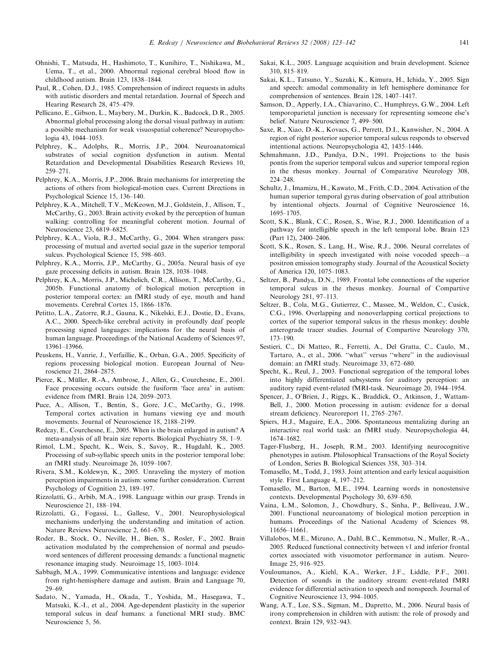- <span id="page-18-0"></span>Ohnishi, T., Matsuda, H., Hashimoto, T., Kunihiro, T., Nishikawa, M., Uema, T., et al., 2000. Abnormal regional cerebral blood flow in childhood autism. Brain 123, 1838–1844.
- Paul, R., Cohen, D.J., 1985. Comprehension of indirect requests in adults with autistic disorders and mental retardation. Journal of Speech and Hearing Research 28, 475–479.
- Pellicano, E., Gibson, L., Maybery, M., Durkin, K., Badcock, D.R., 2005. Abnormal global processing along the dorsal visual pathway in autism: a possible mechanism for weak visuospatial coherence? Neuropsychologia 43, 1044–1053.
- Pelphrey, K., Adolphs, R., Morris, J.P., 2004. Neuroanatomical substrates of social cognition dysfunction in autism. Mental Retardation and Developmental Disabilities Research Reviews 10, 259–271.
- Pelphrey, K.A., Morris, J.P., 2006. Brain mechanisms for interpreting the actions of others from biological-motion cues. Current Directions in Psychological Science 15, 136–140.
- Pelphrey, K.A., Mitchell, T.V., McKeown, M.J., Goldstein, J., Allison, T., McCarthy, G., 2003. Brain activity evoked by the perception of human walking: controlling for meaningful coherent motion. Journal of Neuroscience 23, 6819–6825.
- Pelphrey, K.A., Viola, R.J., McCarthy, G., 2004. When strangers pass: processing of mutual and averted social gaze in the superior temporal sulcus. Psychological Science 15, 598–603.
- Pelphrey, K.A., Morris, J.P., McCarthy, G., 2005a. Neural basis of eye gaze processing deficits in autism. Brain 128, 1038–1048.
- Pelphrey, K.A., Morris, J.P., Michelich, C.R., Allison, T., McCarthy, G., 2005b. Functional anatomy of biological motion perception in posterior temporal cortex: an fMRI study of eye, mouth and hand movements. Cerebral Cortex 15, 1866–1876.
- Petitto, L.A., Zatorre, R.J., Gauna, K., Nikelski, E.J., Dostie, D., Evans, A.C., 2000. Speech-like cerebral activity in profoundly deaf people processing signed languages: implications for the neural basis of human language. Proceedings of the National Academy of Sciences 97, 13961–13966.
- Peuskens, H., Vanrie, J., Verfaillie, K., Orban, G.A., 2005. Specificity of regions processing biological motion. European Journal of Neuroscience 21, 2864–2875.
- Pierce, K., Müller, R.-A., Ambrose, J., Allen, G., Courchesne, E., 2001. Face processing occurs outside the fusiform 'face area' in autism: evidence from fMRI. Brain 124, 2059–2073.
- Puce, A., Allison, T., Bentin, S., Gore, J.C., McCarthy, G., 1998. Temporal cortex activation in humans viewing eye and mouth movements. Journal of Neuroscience 18, 2188–2199.
- Redcay, E., Courchesne, E., 2005. When is the brain enlarged in autism? A meta-analysis of all brain size reports. Biological Psychiatry 58, 1–9.
- Rimol, L.M., Specht, K., Weis, S., Savoy, R., Hugdahl, K., 2005. Processing of sub-syllabic speech units in the posterior temporal lobe: an fMRI study. Neuroimage 26, 1059–1067.
- Rivera, S.M., Koldewyn, K., 2005. Unraveling the mystery of motion perception impairments in autism: some further consideration. Current Psychology of Cognition 23, 189–197.
- Rizzolatti, G., Arbib, M.A., 1998. Language within our grasp. Trends in Neuroscience 21, 188–194.
- Rizzolatti, G., Fogassi, L., Gallese, V., 2001. Neurophysiological mechanisms underlying the understanding and imitation of action. Nature Reviews Neuroscience 2, 661–670.
- Roder, B., Stock, O., Neville, H., Bien, S., Rosler, F., 2002. Brain activation modulated by the comprehension of normal and pseudoword sentences of different processing demands: a functional magnetic resonance imaging study. Neuroimage 15, 1003–1014.
- Sabbagh, M.A., 1999. Communicative intentions and language: evidence from right-hemisphere damage and autism. Brain and Language 70, 29–69.
- Sadato, N., Yamada, H., Okada, T., Yoshida, M., Hasegawa, T., Matsuki, K.-I., et al., 2004. Age-dependent plasticity in the superior temporal sulcus in deaf humans: a functional MRI study. BMC Neuroscience 5, 56.
- Sakai, K.L., 2005. Language acquisition and brain development. Science 310, 815–819.
- Sakai, K.L., Tatsuno, Y., Suzuki, K., Kimura, H., Ichida, Y., 2005. Sign and speech: amodal commonality in left hemisphere dominance for comprehension of sentences. Brain 128, 1407–1417.
- Samson, D., Apperly, I.A., Chiavarino, C., Humphreys, G.W., 2004. Left temporoparietal junction is necessary for representing someone else's belief. Nature Neuroscience 7, 499–500.
- Saxe, R., Xiao, D.-K., Kovacs, G., Perrett, D.I., Kanwisher, N., 2004. A region of right posterior superior temporal sulcus responds to observed intentional actions. Neuropsychologia 42, 1435–1446.
- Schmahmann, J.D., Pandya, D.N., 1991. Projections to the basis pontis from the superior temporal sulcus and superior temporal region in the rhesus monkey. Journal of Comparative Neurology 308, 224–248.
- Schultz, J., Imamizu, H., Kawato, M., Frith, C.D., 2004. Activation of the human superior temporal gyrus during observation of goal attribution by intentional objects. Journal of Cognitive Neuroscience 16, 1695–1705.
- Scott, S.K., Blank, C.C., Rosen, S., Wise, R.J., 2000. Identification of a pathway for intelligible speech in the left temporal lobe. Brain 123 (Part 12), 2400–2406.
- Scott, S.K., Rosen, S., Lang, H., Wise, R.J., 2006. Neural correlates of intelligibility in speech investigated with noise vocoded speech—a positron emission tomography study. Journal of the Acoustical Society of America 120, 1075–1083.
- Seltzer, B., Pandya, D.N., 1989. Frontal lobe connections of the superior temporal sulcus in the rhesus monkey. Journal of Compartive Neurology 281, 97–113.
- Seltzer, B., Cola, M.G., Gutierrez, C., Massee, M., Weldon, C., Cusick, C.G., 1996. Overlapping and nonoverlapping cortical projections to cortex of the superior temporal sulcus in the rhesus monkey: double anterograde tracer studies. Journal of Compartive Neurology 370, 173–190.
- Sestieri, C., Di Matteo, R., Ferretti, A., Del Gratta, C., Caulo, M., Tartaro, A., et al., 2006. ''what'' versus ''where'' in the audiovisual domain: an fMRI study. Neuroimage 33, 672–680.
- Specht, K., Reul, J., 2003. Functional segregation of the temporal lobes into highly differentiated subsystems for auditory perception: an auditory rapid event-related fMRI-task. Neuroimage 20, 1944–1954.
- Spencer, J., O'Brien, J., Riggs, K., Braddick, O., Atkinson, J., Wattam-Bell, J., 2000. Motion processing in autism: evidence for a dorsal stream deficiency. Neuroreport 11, 2765–2767.
- Spiers, H.J., Maguire, E.A., 2006. Spontaneous mentalizing during an interactive real world task: an fMRI study. Neuropsychologia 44, 1674–1682.
- Tager-Flusberg, H., Joseph, R.M., 2003. Identifying neurocognitive phenotypes in autism. Philosophical Transactions of the Royal Society of London, Series B. Biological Sciences 358, 303–314.
- Tomasello, M., Todd, J., 1983. Joint attention and early lexical acquisition style. First Language 4, 197–212.
- Tomasello, M., Barton, M.E., 1994. Learning words in nonostensive contexts. Developmental Psychology 30, 639–650.
- Vaina, L.M., Solomon, J., Chowdhury, S., Sinha, P., Belliveau, J.W., 2001. Functional neuroanatomy of biological motion perception in humans. Proceedings of the National Academy of Sciences 98, 11656–11661.
- Villalobos, M.E., Mizuno, A., Dahl, B.C., Kemmotsu, N., Muller, R.-A., 2005. Reduced functional connectivity between v1 and inferior frontal cortex associated with visuomotor performance in autism. Neuro-Image 25, 916–925.
- Vouloumanos, A., Kiehl, K.A., Werker, J.F., Liddle, P.F., 2001. Detection of sounds in the auditory stream: event-related fMRI evidence for differential activation to speech and nonspeech. Journal of Cognitive Neuroscience 13, 994–1005.
- Wang, A.T., Lee, S.S., Sigman, M., Dapretto, M., 2006. Neural basis of irony comprehension in children with autism: the role of prosody and context. Brain 129, 932–943.